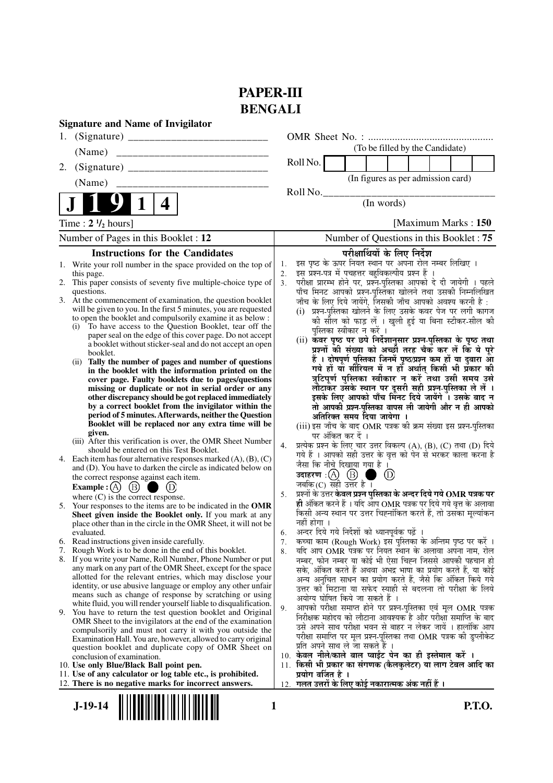# **PAPER-III BENGALI**

| <b>Signature and Name of Invigilator</b>                                                                                                                                                                                                                                                                                                                                                                                                                                                                                                                                                                                                                                                                                                                                                                                                                                                                                                                                                                                                                                                                                                                                                                                                                                                                                                                                         |                                                                                                                                                                                                                                                                                                                                                                                                                                                                                                                                                                                                                                                                                                                                                                                                                                                                                                                                                                                                                                                                                                                                                                                                                                                                                                            |
|----------------------------------------------------------------------------------------------------------------------------------------------------------------------------------------------------------------------------------------------------------------------------------------------------------------------------------------------------------------------------------------------------------------------------------------------------------------------------------------------------------------------------------------------------------------------------------------------------------------------------------------------------------------------------------------------------------------------------------------------------------------------------------------------------------------------------------------------------------------------------------------------------------------------------------------------------------------------------------------------------------------------------------------------------------------------------------------------------------------------------------------------------------------------------------------------------------------------------------------------------------------------------------------------------------------------------------------------------------------------------------|------------------------------------------------------------------------------------------------------------------------------------------------------------------------------------------------------------------------------------------------------------------------------------------------------------------------------------------------------------------------------------------------------------------------------------------------------------------------------------------------------------------------------------------------------------------------------------------------------------------------------------------------------------------------------------------------------------------------------------------------------------------------------------------------------------------------------------------------------------------------------------------------------------------------------------------------------------------------------------------------------------------------------------------------------------------------------------------------------------------------------------------------------------------------------------------------------------------------------------------------------------------------------------------------------------|
| 1.                                                                                                                                                                                                                                                                                                                                                                                                                                                                                                                                                                                                                                                                                                                                                                                                                                                                                                                                                                                                                                                                                                                                                                                                                                                                                                                                                                               |                                                                                                                                                                                                                                                                                                                                                                                                                                                                                                                                                                                                                                                                                                                                                                                                                                                                                                                                                                                                                                                                                                                                                                                                                                                                                                            |
| (Name)                                                                                                                                                                                                                                                                                                                                                                                                                                                                                                                                                                                                                                                                                                                                                                                                                                                                                                                                                                                                                                                                                                                                                                                                                                                                                                                                                                           | (To be filled by the Candidate)                                                                                                                                                                                                                                                                                                                                                                                                                                                                                                                                                                                                                                                                                                                                                                                                                                                                                                                                                                                                                                                                                                                                                                                                                                                                            |
| 2.                                                                                                                                                                                                                                                                                                                                                                                                                                                                                                                                                                                                                                                                                                                                                                                                                                                                                                                                                                                                                                                                                                                                                                                                                                                                                                                                                                               | Roll No.                                                                                                                                                                                                                                                                                                                                                                                                                                                                                                                                                                                                                                                                                                                                                                                                                                                                                                                                                                                                                                                                                                                                                                                                                                                                                                   |
| (Name)                                                                                                                                                                                                                                                                                                                                                                                                                                                                                                                                                                                                                                                                                                                                                                                                                                                                                                                                                                                                                                                                                                                                                                                                                                                                                                                                                                           | (In figures as per admission card)                                                                                                                                                                                                                                                                                                                                                                                                                                                                                                                                                                                                                                                                                                                                                                                                                                                                                                                                                                                                                                                                                                                                                                                                                                                                         |
| 4                                                                                                                                                                                                                                                                                                                                                                                                                                                                                                                                                                                                                                                                                                                                                                                                                                                                                                                                                                                                                                                                                                                                                                                                                                                                                                                                                                                | Roll No.<br>(In words)                                                                                                                                                                                                                                                                                                                                                                                                                                                                                                                                                                                                                                                                                                                                                                                                                                                                                                                                                                                                                                                                                                                                                                                                                                                                                     |
| Time: $2 \frac{1}{2}$ hours]                                                                                                                                                                                                                                                                                                                                                                                                                                                                                                                                                                                                                                                                                                                                                                                                                                                                                                                                                                                                                                                                                                                                                                                                                                                                                                                                                     | [Maximum Marks: 150]                                                                                                                                                                                                                                                                                                                                                                                                                                                                                                                                                                                                                                                                                                                                                                                                                                                                                                                                                                                                                                                                                                                                                                                                                                                                                       |
| Number of Pages in this Booklet: 12                                                                                                                                                                                                                                                                                                                                                                                                                                                                                                                                                                                                                                                                                                                                                                                                                                                                                                                                                                                                                                                                                                                                                                                                                                                                                                                                              | Number of Questions in this Booklet: 75                                                                                                                                                                                                                                                                                                                                                                                                                                                                                                                                                                                                                                                                                                                                                                                                                                                                                                                                                                                                                                                                                                                                                                                                                                                                    |
| <b>Instructions for the Candidates</b>                                                                                                                                                                                                                                                                                                                                                                                                                                                                                                                                                                                                                                                                                                                                                                                                                                                                                                                                                                                                                                                                                                                                                                                                                                                                                                                                           | परीक्षार्थियों के लिए निर्देश                                                                                                                                                                                                                                                                                                                                                                                                                                                                                                                                                                                                                                                                                                                                                                                                                                                                                                                                                                                                                                                                                                                                                                                                                                                                              |
| 1. Write your roll number in the space provided on the top of<br>this page.<br>2. This paper consists of seventy five multiple-choice type of<br>questions.<br>3. At the commencement of examination, the question booklet<br>will be given to you. In the first 5 minutes, you are requested<br>to open the booklet and compulsorily examine it as below :<br>(i) To have access to the Question Booklet, tear off the<br>paper seal on the edge of this cover page. Do not accept<br>a booklet without sticker-seal and do not accept an open<br>booklet.<br>Tally the number of pages and number of questions<br>(ii)<br>in the booklet with the information printed on the<br>cover page. Faulty booklets due to pages/questions<br>missing or duplicate or not in serial order or any<br>other discrepancy should be got replaced immediately<br>by a correct booklet from the invigilator within the<br>period of 5 minutes. Afterwards, neither the Question<br>Booklet will be replaced nor any extra time will be<br>given.<br>(iii) After this verification is over, the OMR Sheet Number<br>should be entered on this Test Booklet.<br>4. Each item has four alternative responses marked $(A)$ , $(B)$ , $(C)$<br>and (D). You have to darken the circle as indicated below on<br>the correct response against each item.<br>$\circled{B}$<br><b>Example</b> : $(A)$ | इस पृष्ठ के ऊपर नियत स्थान पर अपना रोल नम्बर लिखिए ।<br>1.<br>इस प्रश्न-पत्र में पचहत्तर बहुविकल्पीय प्रश्न हैं<br>2.<br>परीक्षा प्रारम्भ होने पर, प्रश्न-पुस्तिका आपको दे दी जायेगी । पहले<br>3.<br>पाँच मिनट आपको प्रश्न-पुस्तिका खोलने तथा उसकी निम्नलिखित<br>जाँच के लिए दिये जायेंगे, जिसकी जाँच आपको अवश्य करनी है :<br>(i) प्रश्न-पुस्तिका खोलने के लिए उसके कवर पेज पर लगी कागज<br>की सील को फाड़ लें । खुली हुई या बिना स्टीकर-सील की<br>पुस्तिका स्वीकार न करें ।<br>(ii) कॅवर पृष्ठ पर छपे निर्देशानुसार प्रश्न-पुस्तिका के पृष्ठ तथा<br>प्रश्नों की संख्या को अच्छी तरह चैक कर लें कि ये पूरे<br>हैं । दोषपूर्ण पुस्तिका जिनमें पृष्ठ/प्रश्न कम हों या दुबारा आ<br>गये हों यो सीरियल में न हों अर्थात् किसी भी प्रकार की<br>त्रुटिपूर्ण पुस्तिका स्वीकार न करें तथा उसी समय उसे<br>लौटाकर उसके स्थान पर दूसरी सही प्रश्न-पुस्तिका ले लें ।<br>इसके लिए आपको पाँच मिनट दिये जायेंगे । उसके बाद न<br>तो आपकी प्रश्न-पुस्तिका वापस ली जायेगी और न ही आपको<br>अतिरिक्त समय दिया जायेगा ।<br>(iii) इस जाँच के बाद OMR पत्रक की क्रम संख्या इस प्रश्न-पुस्तिका<br>पर अंकित कर दें ।<br>प्रत्येक प्रश्न के लिए चार उत्तर विकल्प (A), (B), (C) तथा (D) दिये<br>4.<br>गये हैं । आपको सही उत्तर के वृत्त को पेन से भरकर काला करना है<br>जैसा कि नीचे दिखाया गया है ।<br>(D)<br>जबकि $(C)$ सही उत्तर है । |
| where $(C)$ is the correct response.<br>Your responses to the items are to be indicated in the OMR<br>5.<br>Sheet given inside the Booklet only. If you mark at any<br>place other than in the circle in the OMR Sheet, it will not be<br>evaluated.                                                                                                                                                                                                                                                                                                                                                                                                                                                                                                                                                                                                                                                                                                                                                                                                                                                                                                                                                                                                                                                                                                                             | प्रश्नों के उत्तर <b>केवल प्रश्न पुस्तिका के अन्दर दिये गये OMR पत्रक पर</b><br>5.<br>ही अंकित करने हैं । यदि आप OMR पत्रक पर दिये गये वृत्त के अलावा<br>किसी अन्य स्थान पर उत्तर चिह्नांकित करते हैं, तो उसका मूल्यांकन<br>नहीं होगा ।<br>अन्दर दिये गये निर्देशों को ध्यानपूर्वक पढ़ें ।<br>6.                                                                                                                                                                                                                                                                                                                                                                                                                                                                                                                                                                                                                                                                                                                                                                                                                                                                                                                                                                                                           |
| 6. Read instructions given inside carefully.                                                                                                                                                                                                                                                                                                                                                                                                                                                                                                                                                                                                                                                                                                                                                                                                                                                                                                                                                                                                                                                                                                                                                                                                                                                                                                                                     | कच्चा काम (Rough Work) इस पुस्तिका के अन्तिम पृष्ठ पर करें ।<br>7.                                                                                                                                                                                                                                                                                                                                                                                                                                                                                                                                                                                                                                                                                                                                                                                                                                                                                                                                                                                                                                                                                                                                                                                                                                         |
| 7. Rough Work is to be done in the end of this booklet.<br>8. If you write your Name, Roll Number, Phone Number or put<br>any mark on any part of the OMR Sheet, except for the space<br>allotted for the relevant entries, which may disclose your<br>identity, or use abusive language or employ any other unfair<br>means such as change of response by scratching or using<br>white fluid, you will render yourself liable to disqualification.<br>9. You have to return the test question booklet and Original<br>OMR Sheet to the invigilators at the end of the examination<br>compulsorily and must not carry it with you outside the                                                                                                                                                                                                                                                                                                                                                                                                                                                                                                                                                                                                                                                                                                                                    | यदि आप OMR पत्रक पर नियत स्थान के अलावा अपना नाम, रोल<br>8.<br>नम्बर, फोन नम्बर या कोई भी ऐसा चिह्न जिससे आपकी पहचान हो<br>सके, अंकित करते हैं अथवा अभद्र भाषा का प्रयोग करते हैं, या कोई<br>अन्य अनुचित साधन का प्रयोग करते हैं, जैसे कि अंकित किये गये<br>उत्तर को मिटाना या सफेद स्याही से बदलना तो परीक्षा के लिये<br>अयोग्य घोषित किये जा सकते हैं ।<br>आपको परीक्षा समाप्त होने पर प्रश्न-पुस्तिका एवं मूल OMR पत्रक<br>9.<br>निरीक्षक महोदय को लौटाना आवश्यक है और परीक्षा समाप्ति के बाद<br>उसे अपने साथ परीक्षा भवन से बाहर न लेकर जायें । हालांकि आप                                                                                                                                                                                                                                                                                                                                                                                                                                                                                                                                                                                                                                                                                                                                             |
| Examination Hall. You are, however, allowed to carry original<br>question booklet and duplicate copy of OMR Sheet on<br>conclusion of examination.<br>10. Use only Blue/Black Ball point pen.<br>11. Use of any calculator or log table etc., is prohibited.<br>12. There is no negative marks for incorrect answers.                                                                                                                                                                                                                                                                                                                                                                                                                                                                                                                                                                                                                                                                                                                                                                                                                                                                                                                                                                                                                                                            | परीक्षा समाप्ति पर मूल प्रश्न-पुस्तिका तथा OMR पत्रक की डुप्लीकेट<br>प्रति अपने साथ ले जा सकते हैं ।<br>10. केवल नीले/काले बाल प्वाईंट पेन का ही इस्तेमाल करें ।<br>किसी भी प्रकार का संगणक (कैलकुलेटर) या लाग टेबल आदि का<br>11.<br>प्रयोग वर्जित है ।<br>12. गलत उत्तरों के लिए कोई नकारात्मक अंक नहीं हैं ।                                                                                                                                                                                                                                                                                                                                                                                                                                                                                                                                                                                                                                                                                                                                                                                                                                                                                                                                                                                             |
| $J-19-14$<br>1                                                                                                                                                                                                                                                                                                                                                                                                                                                                                                                                                                                                                                                                                                                                                                                                                                                                                                                                                                                                                                                                                                                                                                                                                                                                                                                                                                   | <b>P.T.O.</b>                                                                                                                                                                                                                                                                                                                                                                                                                                                                                                                                                                                                                                                                                                                                                                                                                                                                                                                                                                                                                                                                                                                                                                                                                                                                                              |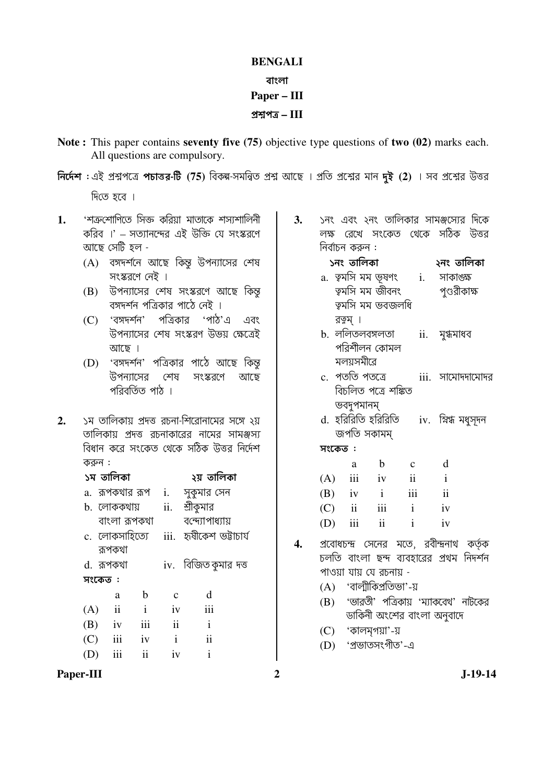### **BENGALI**

### বাংলা

## Paper - III

## প্রশ্নপত্র  $-III$

- Note: This paper contains seventy five (75) objective type questions of two (02) marks each. All questions are compulsory.
- নির্দেশ : এই প্রশ্নপত্রে পচাত্তর-টি (75) বিকল্প-সমন্বিত প্রশ্ন আছে । প্রতি প্রশ্নের মান দুই (2) । সব প্রশ্নের উত্তর দিতে হবে ।
- 'শত্ৰুশোণিতে সিক্ত করিয়া মাতাকে শস্যশালিনী  $1.$ করিব ।' – সত্যানন্দের এই উক্তি যে সংস্করণে আছে সেটি হল -
	- (A) বঙ্গদর্শনে আছে কিন্তু উপন্যাসের শেষ সংস্করণে নেই ।
	- (B) উপন্যাসের শেষ সংস্করণে আছে কিন্ত বঙ্গদর্শন পত্রিকার পাঠে নেই ।
	- (C) 'বঙ্গদর্শন' পত্রিকার 'পাঠ'এ এবং উপন্যাসের শেষ সংস্করণ উভয় ক্ষেত্রেই আছে ।
	- (D) 'বঙ্গদর্শন' পত্রিকার পাঠে আছে কিন্ত উপন্যাসের শেষ সংস্করণে আছে পরিবর্তিত পাঠ ।
- ১ম তালিকায় প্রদত্ত রচনা-শিরোনামের সঙ্গে ২য়  $2.$ তালিকায় প্রদত্ত রচনাকারের নামের সামঞ্জস্য বিধান করে সংকেত থেকে সঠিক উত্তর নির্দেশ করুন $:$

|         | ১ম তালিকা           |                 |                          | ২য় তালিকা             |
|---------|---------------------|-----------------|--------------------------|------------------------|
|         |                     | a.  রূপকথার রূপ | i.                       | সুকুমার সেন            |
|         | b. লোককথায়         |                 | ii.                      | শ্রীকুমার              |
|         |                     | বাংলা রূপকথা    |                          | বন্দ্যোপাধ্যায়        |
|         |                     | c. লোকসাহিত্যে  | iii.                     | হৃষীকেশ ভট্টাচাৰ্য     |
|         | রূপকথা              |                 |                          |                        |
|         | d. রূপকথা           |                 |                          | iv.   বিজিত কুমার দত্ত |
| সংকেত : |                     |                 |                          |                        |
|         | a                   | b               | $\mathbf c$              | d                      |
| (A)     | $\ddot{\mathbf{i}}$ | $\mathbf{i}$    | iv                       | iii                    |
| (B)     | iv                  | iii             | $\overline{\mathbf{ii}}$ | $\mathbf{i}$           |
| (C)     | iii                 | iv              | $\mathbf{i}$             | ii                     |
| (D)     | iii                 | $\mathbf{ii}$   | iv                       | i                      |

Paper-III

- ১নং এবং ২নং তালিকার সামঞ্জস্যের দিকে  $\overline{3}$ . লক্ষ রেখে সংকেত থেকে সঠিক উত্তর নিৰ্বাচন কৰুন :
	- ১নং তালিকা ২নং তালিকা a. ত্বমসি মম ভূষণং  $\mathbf{i}$ . সাকাৎক্ষ তৃমসি মম জীবনং পণ্ডরীকাক্ষ ত্বমসি মম ভবজলধি রত্বম্ ।
	- b. ললিতলবঙ্গলতা ii. মুগ্ধমাধব পরিশীলন কোমল মলয়সমীরে
	- c. পততি পতত্ৰে iii. সামোদদামোদর বিচলিত পত্রে শঙ্কিত ভবদুপমানম
	- d. হরিরিতি হরিরিতি iv. মিগ্ধ মধুসূদন জপতি সকামম

সংকেত :

|                             | a   | b                   | $\mathbf c$ | d                   |
|-----------------------------|-----|---------------------|-------------|---------------------|
| (A)                         | iii | iv                  | ii          | i                   |
| (B)                         | iv  |                     | iii         | $\ddot{\mathbf{i}}$ |
| $\left( \mathrm{C} \right)$ | ii  | iii                 | Î.          | iv                  |
| (D)                         | iii | $\ddot{\mathbf{i}}$ | Ť           | iv                  |

- প্রবোধচন্দ্র সেনের মতে, রবীন্দ্রনাথ কর্তৃক  $\overline{4}$ . চলতি বাংলা ছন্দ ব্যবহারের প্রথম নিদর্শন পাওয়া যায় যে রচনায় -
	- $(A)$  'বালীকিপ্ৰতিভা'-য়
	- (B) 'ভারতী' পত্রিকায় 'ম্যাকবেথ' নাটকের ডাকিনী অংশের বাংলা অনুবাদে
	- $(C)$  'কালমগয়া'-য়
	- (D) 'প্ৰভাতসংগীত'-এ

 $\overline{2}$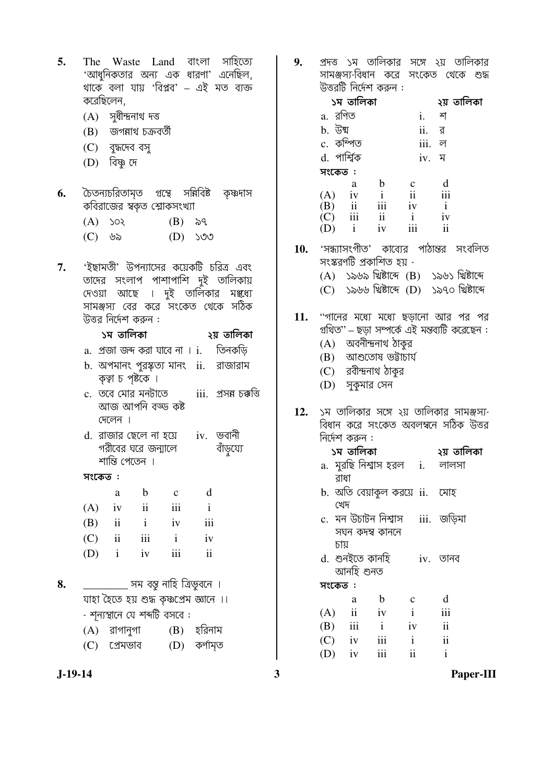- The Waste Land বাংলা সাহিত্যে  $5<sub>1</sub>$ 'আধনিকতার অন্য এক ধারণা' এনেছিল, থাকে বলা যায় 'বিপ্লব' – এই মত ব্যক্ত করেছিলেন,
	- $(A)$  সুধীন্দ্ৰনাথ দত্ত
	- (B) জগন্নাথ চক্ৰবৰ্তী
	- $(C)$  বৃদ্ধদেব বসূ
	- (D) বিষ্ণু দে
- চৈতন্যচরিতামত গ্রন্থে সন্নিবিষ্ট কৃষ্ণদাস 6. কবিরাজের স্বকত শ্লোকসংখ্যা
	- $(A)$   $\infty$  $(B)$   $\delta q$
	- $(C)$  ৬৯  $(D)$   $\sqrt{O}$
- 'ইছামতী' উপন্যাসের কয়েকটি চরিত্র এবং 7. তাদের সংলাপ পাশাপাশি দুই তালিকায় তার দিন দিন দিন কুঁ তালিকার মঞ্জ্যে সামঞ্জস্য বের করে সংকেত থেকে সঠিক উত্তর নির্দেশ করুন :

| ১ম তালিকা | ২য় তালিকা |
|-----------|------------|
|           |            |

- a. প্রজা জব্দ করা যাবে না । i. তিনকড়ি
- b. অপমানং পুরস্কৃত্য মানং ii. রাজারাম কৃত্বা চ পৃষ্টকে ।
- c. তবে মোর মনটাতে iii. প্ৰসন্ন চক্কত্তি আজ আপনি বড্ড কষ্ট দেলেন ।
- d. রাজার ছেলে না হয়ে iv. ভবানী গরীবের ঘরে জন্মালে বাঁড়য্যে শান্তি পেতেন ।

### সংকেত :

|     | a                   | b   | $\mathbf c$ | d   |
|-----|---------------------|-----|-------------|-----|
| (A) | iv                  | 11  | 111         | i   |
| (B) | $\overline{11}$     | Ť   | iv          | iii |
| (C) | $\ddot{\mathbf{i}}$ | iii | i           | iv  |
| (D) | Ť                   | iv  | 111         | ii  |

\_\_\_\_\_\_\_\_\_\_ সম বস্তু নাহি ত্রিভুবনে । 8. যাহা হৈতে হয় শুদ্ধ কৃষ্ণপ্ৰেম জ্ঞানে ।। - শন্যস্থানে যে শব্দটি বসবে :  $(\Lambda)$  atotant  $(D)$   $\overline{R}$ atsu

| ווי אווי ווא - (A) | $(D)$ $\triangleleft$ $\mathbb{N}$ $\mathbb{N}$ |
|--------------------|-------------------------------------------------|
| (C) প্ৰেমভাব       | (D) কৰ্ণামৃত                                    |

প্রদত্ত ১ম তালিকার সঙ্গে ২য় তালিকার  $9.$ সামঞ্জস্য-বিধান করে সংকেত থেকে শুদ্ধ উত্তরটি নির্দেশ করুন:

|              | ১ম তালিকা               |     |               | ২য় তালিকা |  |
|--------------|-------------------------|-----|---------------|------------|--|
| a. রণিত      |                         |     | i.            | শ          |  |
| b. উষ্ম      |                         |     | ii.           | র          |  |
| c. কম্পিত    |                         |     | iii.          | ল          |  |
| d. পার্শ্বিক |                         |     | iv.           | ম          |  |
| সংকেত :      |                         |     |               |            |  |
|              | a                       | b   | $\mathbf c$   | d          |  |
| (A)          | iv                      | i   | $\mathbf{ii}$ | iii        |  |
| (B)          | $\overline{\mathbf{u}}$ | iii | iv            | i          |  |
| (C)          | iii                     | ii  | Ť             | 1V         |  |
| (D)          |                         | 1V  | 111           | ij         |  |

- $10.$  'সন্ধ্যাসংগীত' কাব্যের পাঠান্তর সংবলিত সংস্করণটি প্রকাশিত হয় -
	- (A) ১৯৬৯ খিষ্টাব্দ (B) ১৯৬১ খিষ্টাব্দে
	- (C) ১৯৬৬ খ্রিষ্টাব্দ (D) ১৯৭০ খ্রিষ্টাব্দে
- 11. "পানের মধ্যে মধ্যে ছড়ানো আর পর পর গ্রথিত" - ছড়া সম্পর্কে এই মন্তব্যটি করেছেন:  $(A)$  অবনীন্দ্রনাথ ঠাকর
	-
	- (B) আশুতোষ ভট্টাচাৰ্য
	- (C) রবীন্দ্রনাথ ঠাকুর
	- (D) সুকুমার সেন
- $12.$ ১ম তালিকার সঙ্গে ২য় তালিকার সামঞ্জস্য-বিধান করে সংকেত অবলম্বনে সঠিক উত্তর নির্দেশ করুন :

| ১ম তাালকা         | ২য় তালিকা |
|-------------------|------------|
| মুরছি নিশ্বাস হরল | লালসা      |

- রাধা b. অতি বেয়াকুল করয়ে ii. মোহ
- খেদ iii. জড়িমা c. মন উচাটন নিশ্বাস সঘন কদম্ব কাননে

চায়

a.

d. শুনইতে কানহি iv. তানব আনহি শুনত

সংকেত :

|     | a             | b            | $\mathbf c$  | d   |
|-----|---------------|--------------|--------------|-----|
| (A) | $\mathbf{ii}$ | iv           | $\mathbf{i}$ | iii |
| (B) | iii           | $\mathbf{i}$ | iv           | ii  |
| (C) | iv            | iii          | $\mathbf{i}$ | ii  |
| (D) | iv            | 111          | ii           |     |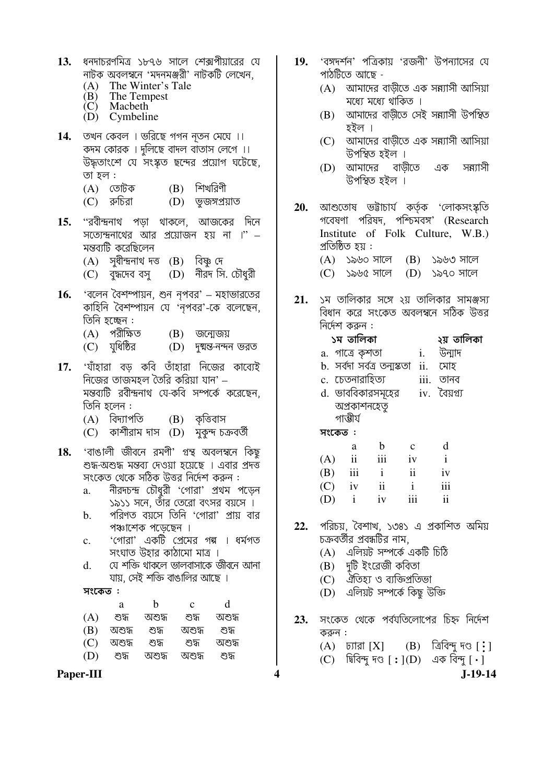| 13. | ধনদাচরণমিত্র ১৮৭৬ সালে শেক্সপীয়ারের যে<br>নাটক অবলম্বনে 'মদনমঞ্জরী' নাটকটি লেখেন,<br>The Winter's Tale<br>(A)<br>$(B)$ The Tempest<br>(C) Macbeth<br>(D) Cymbeline                                                                                                                                                                                                                                                                                                   | 19. | 'বঙ্গদর্শন' পত্রিকায় 'রও<br>পাঠটিতে আছে -<br>আমাদের বাড়ীতে<br>(A)<br>মধ্যে মধ্যে থাকিত<br>আমাদের বাড়ীতে<br>(B)<br>হইল ।                                                                                                                                                                                                    |
|-----|-----------------------------------------------------------------------------------------------------------------------------------------------------------------------------------------------------------------------------------------------------------------------------------------------------------------------------------------------------------------------------------------------------------------------------------------------------------------------|-----|-------------------------------------------------------------------------------------------------------------------------------------------------------------------------------------------------------------------------------------------------------------------------------------------------------------------------------|
| 14. | তখন কেবল । ভরিছে গগন নূতন মেঘে ।।<br>কদম কোরক । দুলিছে বাদল বাতাস লেগে ।।<br>উদ্ধতাংশে যে সংস্কৃত ছন্দের প্রয়োগ ঘটেছে,<br>তা হল :<br>$(B)$ শিখরিণী<br>(A) তোটক<br>(C) রুচিরা<br>(D) ভূজস্প্রয়াত                                                                                                                                                                                                                                                                     |     | আমাদের বাড়ীতে<br>(C)<br>উপস্থিত হইল ।<br>আমাদের বাড়ী<br>(D)<br>উপস্থিত হইল ।                                                                                                                                                                                                                                                |
| 15. | ''রবীন্দ্রনাথ পড়া থাকলে, আজকের দিনে<br>সত্যেন্দ্রনাথের আর প্রয়োজন হয় না ।" –<br>মন্তব্যটি করেছিলেন<br>(A) সুধীন্দ্ৰনাথ দত্ত (B) বিষ্ণু দে<br>(C) বুদ্ধদেব বসু (D) নীরদ সি. চৌধুরী                                                                                                                                                                                                                                                                                  | 20. | আশুতোষ ভট্টাচাৰ্য ক<br>গবেষণা পরিষদ, পশ্চি<br>Institute of Folk<br>প্রতিষ্ঠিত হয় :<br>$(A)$ ১৯৬০ সালে (I<br>$(C)$ ১৯৬৫ সালে $(I)$                                                                                                                                                                                            |
| 16. | 'বলেন বৈশম্পায়ন, শুন নৃপবর' – মহাভারতের<br>কাহিনি বৈশম্পায়ন যে 'নৃপবর'-কে বলেছেন,<br>তিনি হচ্ছেন :<br>(A) পরীক্ষিত<br>$(B)$ জন্মেজয়<br>(C) যুধিষ্ঠির<br>(D) দুষ্মন্ত-নন্দন ভরত                                                                                                                                                                                                                                                                                     |     | $21.$ ১ম তালিকার সঙ্গে ২য়<br>বিধান করে সংকেত অন<br>নির্দেশ করুন :<br>১ম তালিকা<br>a. গাত্রে কৃশতা                                                                                                                                                                                                                            |
|     | 17. 'যাঁহারা বড় কবি তাঁহারা নিজের কাব্যেই<br>নিজের তাজমহল তৈরি করিয়া যান' –<br>মন্তব্যটি রবীস্থনাথ যে-কবি সম্পর্কে করেছেন,<br>তিনি হলেন :<br>(A) বিদ্যাপতি     (B)  কৃত্তিবাস<br>(C) কাশীরাম দাস (D) মুকুন্দ চক্রবর্তী                                                                                                                                                                                                                                              |     | b. সৰ্বদা সৰ্বত্ৰ তন্মস্কতা<br>c. চেতনারাহিত্য<br>d. ভাববিকারসমূহের<br>অপ্ৰকাশনহেতু<br>গাম্ভীৰ্য<br>সংকেত:                                                                                                                                                                                                                    |
| 18. | 'বাঙালী জীবনে রমণী' গ্রন্থ অবলম্বনে কিছু<br>শুদ্ধ-অশুদ্ধ মন্তব্য দেওয়া হয়েছে । এবার প্রদত্ত<br>সংকেত থেকে সঠিক উত্তর নির্দেশ করুন :<br>নীরদচন্দ্র চৌধুরী 'গোরা' প্রথম পড়েন<br>a.<br>১৯১১ সনে, তাঁর তেরো বৎসর বয়সে ।<br>পরিণত বয়সে তিনি 'গোরা' প্রায় বার<br>b.<br>পঞ্চাশেক পড়েছেন ।<br>'গোরা' একটি প্রেমের গল্গ । ধর্মগত<br>$\mathbf{c}$ .<br>সংঘাত উহার কাঠামো মাত্র ।<br>যে শক্তি থাকলে ভালবাসাকে জীবনে আনা<br>d.<br>যায়, সেই শক্তি বাঙালির আছে ।<br>সংকেত : | 22. | $\mathbf b$<br>a -<br>$(A)$ ii<br>iii<br>-i<br>(B)<br>111<br>$\mathbf{1}$<br>$\mathbf{1}$<br>ii<br>(C)<br>iv<br>(D)<br>$\mathbf{i}$<br>$\mathbf{i}$<br>iv<br>পরিচয়, বৈশাখ, ১৩৪১<br>চক্রবর্তীর প্রবন্ধটির নাম,<br>এলিয়ট সম্পৰ্কে <i>এ</i><br>(A)<br>(B) দুটি ইংরেজী কবি<br>(C) ঐতিহ্য ও ব্যক্তিপ্ৰ<br>(D) এলিয়ট সম্পৰ্কে নি |
|     | d<br>$\mathbf b$<br>$\mathbf{c}$<br>a<br>শুদ্ধ<br>অশুদ্ধ শুদ্ধ<br>(A)<br>অশুদ্ধ<br>(B)<br>অশুদ্ধ<br>শুদ্ধ<br>অশুদ্ধ<br>শুদ্ধ                                                                                                                                                                                                                                                                                                                                          | 23. | সংকেত থেকে পর্বযতি                                                                                                                                                                                                                                                                                                            |
|     | (C)<br>অশুদ্ধ<br>শুদ্ধ<br>শুদ্ধ<br>অশুদ্ধ                                                                                                                                                                                                                                                                                                                                                                                                                             |     | করুন :<br>$(A)$ $\overline{b}$ $[X]$ $(I)$                                                                                                                                                                                                                                                                                    |
|     | শুদ্ধ<br>শুদ্ধ<br>(D)<br>অশুদ্ধ<br>অশুদ্ধ<br>Paper-III                                                                                                                                                                                                                                                                                                                                                                                                                |     | $(C)$ । ब्रिंदिन्मू मः [: ]                                                                                                                                                                                                                                                                                                   |

Paper-III

- $\frac{1}{2}$  10  $\frac{1}{2}$  $\overline{a}$  $\overline{ }$  $\sim$ জনী' উপন্যাসের যে
	- এক সন্ন্যাসী আসিয়া  $\bar{5}$  |
	- সেই সন্ন্যাসী উপস্থিত
	- এক সন্ন্যাসী আসিয়া
	- তে এক সন্ন্যাসী

চ্<mark>তৃ</mark>ক 'লোকসংস্কৃতি bर्भवत्र' (Research Culture, W.B.) B) ১৯৬৩ সালে D) ১৯৭০ সালে

তালিকার সামঞ্জস্য বলম্বনে সঠিক উত্তর

|           | ১ম তালিকা        |                   |                                      | ২য় তালিকা   |
|-----------|------------------|-------------------|--------------------------------------|--------------|
|           | a.  গাত্রে কৃশতা |                   |                                      | i. উন্মাদ    |
|           |                  |                   | b. সৰ্বদা সৰ্বত্ৰ তন্মস্কতা ii.  মোহ |              |
|           | c. চেতনারাহিত্য  |                   |                                      | iii. তানব    |
|           |                  | d. ভাববিকারসমূহের |                                      | iv. বৈয়গ্য  |
|           | অপ্রকাশনহেতু     |                   |                                      |              |
|           | গাম্ভীৰ্য        |                   |                                      |              |
| সংকেত ፡   |                  |                   |                                      |              |
|           | a                | b                 | $\mathbf{c}$                         | d            |
| $(A)$ ii  |                  | iii               | iv                                   | $\mathbf{i}$ |
| $(B)$ iii |                  | $\mathbf{i}$      | $\overline{\mathbf{ii}}$             | iv           |
| $(C)$ iv  |                  | $\mathbf{ii}$     | $\mathbf{i}$                         | iii          |

- iii  $\overline{\mathbf{i}}$
- এ প্রকাশিত অমিয়
	- একটি চিঠি
	- তা
	- াতিভা
	- কিছু উক্তি
- লোপের চিহ্ন নির্দেশ
	- B) ত্রিবিন্দু দণ্ড [ •়]<br>D) এক বিন্দু [ ]

 $J-19-14$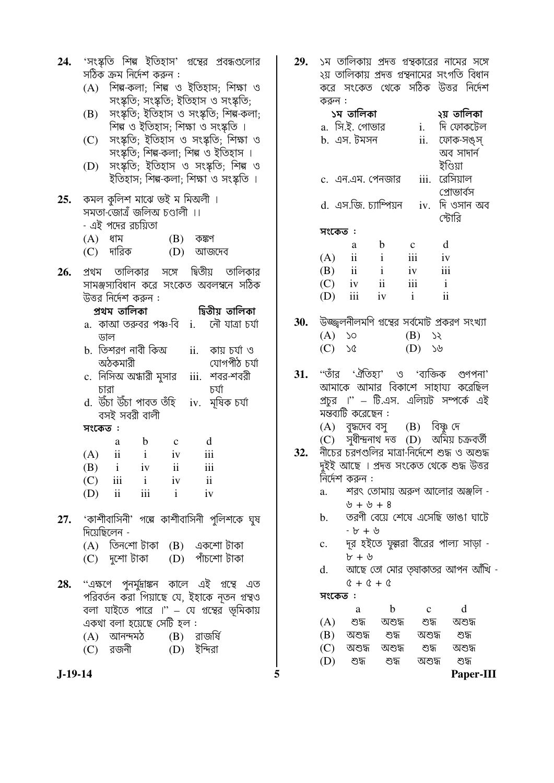| 24. |                                                                                       |                                        |    |                          | 'সংস্কতি শিল্প ইতিহাস' গুন্থের প্রবন্ধগুলোর                                    |  |  |  |
|-----|---------------------------------------------------------------------------------------|----------------------------------------|----|--------------------------|--------------------------------------------------------------------------------|--|--|--|
|     |                                                                                       | সঠিক ক্রম নির্দেশ করুন :               |    |                          |                                                                                |  |  |  |
|     | শিল্প-কলা; শিল্প ও ইতিহাস; শিক্ষা ও<br>(A)                                            |                                        |    |                          |                                                                                |  |  |  |
|     | সংস্কৃতি; সংস্কৃতি; ইতিহাস ও সংস্কৃতি;                                                |                                        |    |                          |                                                                                |  |  |  |
|     | সংস্কৃতি; ইতিহাস ও সংস্কৃতি; শিল্প-কলা;<br>(B)<br>শিল্প ও ইতিহাস; শিক্ষা ও সংস্কৃতি । |                                        |    |                          |                                                                                |  |  |  |
|     | (C)                                                                                   |                                        |    |                          | সংস্কৃতি; ইতিহাস ও সংস্কৃতি; শিক্ষা ও<br>সংস্কৃতি; শিল্প-কলা; শিল্প ও ইতিহাস । |  |  |  |
|     | (D)                                                                                   |                                        |    |                          | সংস্কৃতি; ইতিহাস ও সংস্কৃতি; শিল্প ও<br>ইতিহাস; শিল্প-কলা; শিক্ষা ও সংস্কৃতি । |  |  |  |
| 25. |                                                                                       | কমল কুলিশ মাঝে ভই ম মিঅলী ।            |    |                          |                                                                                |  |  |  |
|     |                                                                                       | সমতা-জোত্রঁ জলিঅ চণ্ডালী ।।            |    |                          |                                                                                |  |  |  |
|     |                                                                                       | - এই পদের রচয়িতা                      |    |                          |                                                                                |  |  |  |
|     | (A) ধাম                                                                               |                                        |    | $(B)$ কষ্কণ              |                                                                                |  |  |  |
|     |                                                                                       | (C) দারিক                              |    |                          | (D) আজদেব                                                                      |  |  |  |
| 26. |                                                                                       |                                        |    |                          | প্রথম তালিকার সঙ্গে দ্বিতীয় তালিকার                                           |  |  |  |
|     |                                                                                       |                                        |    |                          | সামঞ্জস্যবিধান করে সংকেত অবলম্বনে সঠিক                                         |  |  |  |
|     |                                                                                       | উত্তর নির্দেশ করুন :                   |    |                          |                                                                                |  |  |  |
|     |                                                                                       | প্ৰথম তালিকা                           |    |                          | দ্বিতীয় তালিকা                                                                |  |  |  |
|     |                                                                                       |                                        |    |                          | a.  কাআ তরুবর পঞ্চ-বি  i.    নৌ যাত্রা চর্যা                                   |  |  |  |
|     |                                                                                       | ডাল<br>b.  তিশরণ নাবী কিঅ              |    |                          | $ii.$ কায় চর্যা ও                                                             |  |  |  |
|     |                                                                                       | অঠকমারী                                |    |                          | যোগপীঠ চৰ্যা                                                                   |  |  |  |
|     |                                                                                       | c.  নিসিঅ অন্ধারী মুসার                |    |                          | iii. শবর-শবরী                                                                  |  |  |  |
|     |                                                                                       | চারা                                   |    |                          | চৰ্যা                                                                          |  |  |  |
|     |                                                                                       | d. উঁচা উঁচা পাবত তঁহি                 |    |                          | iv. মূষিক চৰ্যা                                                                |  |  |  |
|     |                                                                                       | বসই সবরী বালী                          |    |                          |                                                                                |  |  |  |
|     | সংকেত:                                                                                |                                        |    |                          |                                                                                |  |  |  |
|     |                                                                                       | a b                                    |    | $\mathbf{C}$             | $\mathbf d$                                                                    |  |  |  |
|     |                                                                                       | $(A)$ ii i                             |    | iv                       | iii                                                                            |  |  |  |
|     | (B)                                                                                   | $\mathbf{i}$                           | iv | $\overline{\textbf{ii}}$ | iii                                                                            |  |  |  |
|     |                                                                                       | $(C)$ iii i iv                         |    |                          | $\overline{\mathbf{u}}$                                                        |  |  |  |
|     |                                                                                       | $(D)$ ii iii i iv                      |    |                          |                                                                                |  |  |  |
|     |                                                                                       |                                        |    |                          | $27.$ 'কাশীবাসিনী' গব্বে কাশীবাসিনী পুলিশকে ঘুষ                                |  |  |  |
|     | দিয়েছিলেন -                                                                          |                                        |    |                          |                                                                                |  |  |  |
|     |                                                                                       |                                        |    |                          |                                                                                |  |  |  |
|     |                                                                                       |                                        |    |                          | (A) তিনশো টাকা (B) একশো টাকা<br>(C) দুশো টাকা  (D) পাঁচশো টাকা                 |  |  |  |
|     |                                                                                       |                                        |    |                          |                                                                                |  |  |  |
| 28. |                                                                                       |                                        |    |                          | ''এক্ষণে পুনর্মুদ্রাঙ্কন কালে এই গ্রন্থে এত                                    |  |  |  |
|     |                                                                                       |                                        |    |                          | পরিবর্তন করা গিয়াছে যে, ইহাকে নূতন গ্রন্থও                                    |  |  |  |
|     |                                                                                       |                                        |    |                          | বলা যাইতে পারে ।'' – যে গুন্থের ভূমিকায়                                       |  |  |  |
|     |                                                                                       | একথা বলা হয়েছে সেটি হল <mark>:</mark> |    |                          | (A) আনন্দমঠ (B) রাজর্ষি                                                        |  |  |  |
|     |                                                                                       | (C) রজনী                               |    |                          | (D) ইন্দিরা                                                                    |  |  |  |
|     |                                                                                       |                                        |    |                          |                                                                                |  |  |  |

 $29.$  ১ম তালিকায় প্রদত্ত গুন্থকারের নামের সঙ্গে ২য় তালিকায় প্রদত্ত গ্রন্থনামের সংগতি বিধান করে সংকেত থেকে সঠিক উত্তর নির্দেশ করুন $\cdot$ ১ম তালিকা ২য় তালিকা

|     |                         |                       |              | וירוירו אי                                |
|-----|-------------------------|-----------------------|--------------|-------------------------------------------|
|     | a. সি.ই. গোভার          |                       | i.           | দি ফোকটেল                                 |
|     | b. এস. টমসন             |                       |              | ii. ফোক-সঙ্স্                             |
|     |                         |                       |              | অব সাদার্ন                                |
|     |                         |                       |              | ইণ্ডিয়া                                  |
|     |                         | c. এন.এম. পেনজার      | iii.         | রেসিয়াল                                  |
|     |                         |                       |              | প্রোভার্বস                                |
|     |                         | d. এস.জি. চ্যাম্পিয়ন |              | $iv.$ দি ওসান অব                          |
|     |                         |                       |              | স্টোরি                                    |
|     | সংকেত :                 |                       |              |                                           |
|     | a                       | b                     | $\mathbf{c}$ | d                                         |
| (A) | $\ddot{\mathbf{i}}$     | $\mathbf{i}$          | iii          | iv                                        |
| (B) | $\overline{\mathbf{i}}$ | $\mathbf{i}$          | iv           | iii                                       |
|     | $(C)$ iv                | $\ddot{\mathbf{i}}$   | iii          | $\mathbf{i}$                              |
| (D) | iii                     | iv                    | $\mathbf{i}$ | ii                                        |
|     |                         |                       |              |                                           |
|     |                         |                       |              | উজ্জলনীলমণি গুন্থের সর্বমোট প্রকরণ সংখ্যা |

30. উজ্জ্বলনীলমণি গুন্থের সর্বমোট প্রকরণ সংখ্যা (A) SO (B) SR<br>(C) SQ (D) S&

''তাঁর 'ঐতিহ্য' ও 'ব্যক্তিক গুণপনা'  $31.$ আমাকে আমার বিকাশে সাহায্য করেছিল প্রচুর ।" – টি.এস. এলিয়ট সম্পর্কে এই মন্তব্যটি করেছেন :

(A) বুদ্ধদেব বসু (B) বিষ্ণু দে<br>(C) সুধীন্দ্ৰনাথ দত্ত (D) অমিয় চক্ৰবৰ্তী

- নীর্চের চরণগুলির মাত্রা-নির্দেশে শুদ্ধ ও অশুদ্ধ  $32.$ দুইই আছে । প্রদত্ত সংকেত থেকে শুদ্ধ উত্তর নির্দেশ করুন :
	- শরৎ তোমায় অরুণ আলোর অঞ্জলি  $a_{\cdot}$  $\psi + \psi + 8$
	- b. তরণী বেয়ে শেষে এসেছি ভাঙা ঘাটে  $- b + b$
	- c. দর হইতে ফুল্লরা বীরের পাল্য সাড়া  $b + b$
	- আছে তো মোর তৃষাকাতর আপন আঁখি  $d.$  $0 + 0 + 0$

### সংকেত $:$

5

|     | a      | h      | c      | d      |  |
|-----|--------|--------|--------|--------|--|
| (A) | শুদ্ধ  | অশুদ্ধ | শুদ্ধ  | অশুদ্ধ |  |
| (B) | অশুদ্ধ | শুদ্ধ  | অশুদ্ধ | শুদ্ধ  |  |
| (C) | অশুদ্ধ | অশুদ্ধ | শুদ্ধ  | অশুদ্ধ |  |
| (D) | শুদ    | শুদ্ধ  | অশুদ্ধ | শুদ্ধ  |  |
|     |        |        |        | ∼      |  |

 $J-19-14$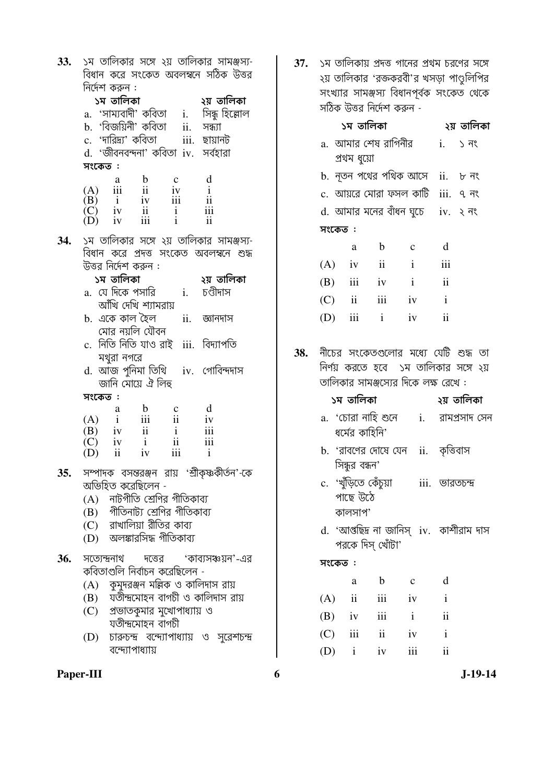| 33.        |        |                      |                                                                                                                                                                                                                                                               |                                                                                           |                                | ১ম তালিকার সঙ্গে ২য় তালিকার সামঞ্জস্য-      |
|------------|--------|----------------------|---------------------------------------------------------------------------------------------------------------------------------------------------------------------------------------------------------------------------------------------------------------|-------------------------------------------------------------------------------------------|--------------------------------|----------------------------------------------|
|            |        | নির্দেশ করুন :       |                                                                                                                                                                                                                                                               |                                                                                           |                                | বিধান করে সংকেত অবলম্বনে সঠিক উত্তর          |
|            |        |                      |                                                                                                                                                                                                                                                               |                                                                                           |                                |                                              |
|            |        | ১ম তালিকা            |                                                                                                                                                                                                                                                               | - ১৯ সালক।<br>a. 'সাম্যবাদী' কবিতা   i.   সিন্ধু হিল্লোল                                  |                                | ২য় তালিকা                                   |
|            |        |                      |                                                                                                                                                                                                                                                               |                                                                                           |                                |                                              |
|            |        |                      | b. 'বিজয়িনী' কবিতা                                                                                                                                                                                                                                           |                                                                                           | ii. সন্ধ্যা                    |                                              |
|            |        |                      | c. 'দারিদ্র্য' কবিতা                                                                                                                                                                                                                                          |                                                                                           | iii. ছায়ানট                   |                                              |
|            |        |                      |                                                                                                                                                                                                                                                               | d. 'জীবনবন্দনা' কবিতা iv.  সৰ্বহারা                                                       |                                |                                              |
|            | সংকেত: |                      |                                                                                                                                                                                                                                                               |                                                                                           |                                |                                              |
|            |        |                      | $\begin{array}{ccccccccc} & & & & & & \text{a} & \text{b} & \text{c} \\ (A) & \text{iii} & \text{ii} & \text{iv} \\ (B) & \text{i} & \text{iv} & \text{iii} \\ (C) & \text{iv} & \text{ii} & \text{i} \\ (D) & \text{iv} & \text{iii} & \text{i} \end{array}$ |                                                                                           | d                              |                                              |
|            |        |                      |                                                                                                                                                                                                                                                               |                                                                                           | $\mathbf{i}$                   |                                              |
|            |        |                      |                                                                                                                                                                                                                                                               |                                                                                           | $\rm ii$                       |                                              |
|            |        |                      |                                                                                                                                                                                                                                                               |                                                                                           | iii<br>$\overline{\mathbf{u}}$ |                                              |
|            |        |                      |                                                                                                                                                                                                                                                               |                                                                                           |                                |                                              |
| 34.        |        |                      |                                                                                                                                                                                                                                                               |                                                                                           |                                | ১ম তালিকার সঙ্গে ২য় তালিকার সামঞ্জস্য-      |
|            |        |                      |                                                                                                                                                                                                                                                               |                                                                                           |                                | বিধান করে প্রদত্ত সংকেত অবলম্বনে শুদ্ধ       |
|            |        | উত্তর নির্দেশ করুন : |                                                                                                                                                                                                                                                               |                                                                                           |                                |                                              |
|            |        | ১ম তালিকা            |                                                                                                                                                                                                                                                               |                                                                                           |                                | ২য় তালিকা                                   |
|            |        |                      | a.  যে দিকে পসারি                                                                                                                                                                                                                                             |                                                                                           | i. চণ্ডীদাস                    |                                              |
|            |        |                      | আঁখি দেখি শ্যামরায়                                                                                                                                                                                                                                           |                                                                                           |                                |                                              |
|            |        |                      | b.  একে কাল হৈল                                                                                                                                                                                                                                               |                                                                                           | ii. জ্ঞানদাস                   |                                              |
|            |        |                      | মোর নয়লি যৌবন                                                                                                                                                                                                                                                |                                                                                           |                                |                                              |
|            |        |                      |                                                                                                                                                                                                                                                               | c. নিতি নিতি যাও রাই iii. বিদ্যাপতি                                                       |                                |                                              |
|            |        | মথুরা নগরে           |                                                                                                                                                                                                                                                               |                                                                                           |                                |                                              |
|            | d.     |                      |                                                                                                                                                                                                                                                               | আজ পুনিমা তিথি iv. গোবিন্দদাস                                                             |                                |                                              |
|            |        |                      | জানি মোয়ে ঐ লিহু                                                                                                                                                                                                                                             |                                                                                           |                                |                                              |
|            | সংকেত: |                      |                                                                                                                                                                                                                                                               |                                                                                           |                                |                                              |
|            |        |                      |                                                                                                                                                                                                                                                               | $(A)$ i iii ii iv<br>$(A)$ i iii ii iv<br>$(A)$ i iii ii iv<br>ii i iiii                  |                                |                                              |
|            |        |                      |                                                                                                                                                                                                                                                               |                                                                                           |                                |                                              |
|            |        |                      |                                                                                                                                                                                                                                                               | $\begin{array}{ccc} (B) & iv & ii & i \\ (C) & iv & i & ii \end{array}$                   |                                |                                              |
|            |        |                      |                                                                                                                                                                                                                                                               | $\begin{array}{ccc} \n(C) & iv & i & ii & iii \\ \n(D) & ii & iv & iii & i \n\end{array}$ | $\overline{\mathbf{iii}}$      |                                              |
|            |        |                      |                                                                                                                                                                                                                                                               |                                                                                           |                                |                                              |
| 35.        |        |                      |                                                                                                                                                                                                                                                               |                                                                                           |                                | সম্পাদক বসন্তবঞ্জন রায় 'শ্রীকৃষ্ণকীর্তন'-কে |
|            |        |                      | অভিহিত করেছিলেন -                                                                                                                                                                                                                                             |                                                                                           |                                |                                              |
|            |        |                      |                                                                                                                                                                                                                                                               | (A) নাটগীতি শ্রেণির গীতিকাব্য                                                             |                                |                                              |
|            |        |                      |                                                                                                                                                                                                                                                               | (B) গীতিনাট্য শ্রেণির গীতিকাব্য                                                           |                                |                                              |
|            |        |                      |                                                                                                                                                                                                                                                               | (C) রাখালিয়া রীতির কাব্য                                                                 |                                |                                              |
|            |        |                      |                                                                                                                                                                                                                                                               | অলঙ্কারসিদ্ধ গীতিকাব্য                                                                    |                                |                                              |
|            | (D)    |                      |                                                                                                                                                                                                                                                               |                                                                                           |                                |                                              |
| <b>36.</b> |        | সত্যেন্দ্ৰনাথ        |                                                                                                                                                                                                                                                               |                                                                                           |                                | দত্তের 'কাব্যসঞ্চয়ন'-এর                     |
|            |        |                      |                                                                                                                                                                                                                                                               | কবিতাগুলি নির্বাচন করেছিলেন -                                                             |                                |                                              |
|            |        |                      |                                                                                                                                                                                                                                                               | (A)    কুমুদরঞ্জন মল্লিক ও কালিদাস রায়                                                   |                                |                                              |
|            |        |                      |                                                                                                                                                                                                                                                               | (B) যতীন্দ্রমোহন বাগচী ও কালিদাস রায়                                                     |                                |                                              |
|            |        |                      |                                                                                                                                                                                                                                                               | (C) প্রভাতকুমার মুখোপাধ্যায় ও                                                            |                                |                                              |
|            |        |                      | যতীন্দ্ৰমোহন বাগচী                                                                                                                                                                                                                                            |                                                                                           |                                |                                              |
|            |        |                      |                                                                                                                                                                                                                                                               |                                                                                           |                                |                                              |
|            |        |                      |                                                                                                                                                                                                                                                               |                                                                                           |                                | (D) চারুচন্দ্র বন্দ্যোপাধ্যায় ও সুরেশচন্দ্র |
|            |        | বন্দ্যোপাধ্যায়      |                                                                                                                                                                                                                                                               |                                                                                           |                                |                                              |

37. ১ম তালিকায় প্রদত্ত গানের প্রথম চরণের সঙ্গে ২য় তালিকার 'রক্তকরবী'র খসড়া পাণ্ডুলিপির সংখ্যার সামঞ্জস্য বিধানপূর্বক সংকেত থেকে<br>সঠিক উত্তর নির্দেশ করুন -

|     |                                                                                       | ১ম তালিকা           |                     |                                                                                                                        |                           | ২য় তালিকা                        |  |
|-----|---------------------------------------------------------------------------------------|---------------------|---------------------|------------------------------------------------------------------------------------------------------------------------|---------------------------|-----------------------------------|--|
|     |                                                                                       | প্ৰথম ধুয়ো         |                     | a.  আমার শেষ রাগিনীর                                                                                                   |                           | $i.$ $\rightarrow$ $\overline{1}$ |  |
|     |                                                                                       |                     |                     | b.  নৃতন পথের পথিক আসে                                                                                                 |                           | ii. ৮ নং                          |  |
|     |                                                                                       |                     |                     | c. আয়রে মোরা ফসল কাটি  iii.  ৭ নং                                                                                     |                           |                                   |  |
|     |                                                                                       |                     |                     | d. আমার মনের বাঁধন ঘুচে iv. ২ নং                                                                                       |                           |                                   |  |
|     | সংকেত :                                                                               |                     |                     |                                                                                                                        |                           |                                   |  |
|     |                                                                                       | a                   |                     | b c d                                                                                                                  |                           |                                   |  |
|     |                                                                                       |                     | $(A)$ iv ii         | $\mathbf{i}$                                                                                                           | $\overline{\mathbf{iii}}$ |                                   |  |
|     |                                                                                       |                     |                     | (B) iii iv i ii                                                                                                        |                           |                                   |  |
|     |                                                                                       |                     |                     | $(C)$ ii iii iv i                                                                                                      |                           |                                   |  |
|     |                                                                                       |                     |                     | $(D)$ iii i iv ii                                                                                                      |                           |                                   |  |
| 38. |                                                                                       |                     |                     | নীচের সংকেতগুলোর মধ্যে যেটি শুদ্ধ তা<br>নির্ণয় করতে হবে  ১ম তালিকার সঙ্গে ২য়<br>তালিকার সামঞ্জস্যের দিকে লক্ষ রেখে : |                           |                                   |  |
|     |                                                                                       | ১ম তালিকা           |                     |                                                                                                                        | ২য় তালিকা                |                                   |  |
|     |                                                                                       | ধর্মের কাহিনি'      |                     | a. 'চোরা নাহি শুনে       i.     রামপ্রসাদ সেন                                                                          |                           |                                   |  |
|     |                                                                                       |                     |                     | b. 'রাবণের দোষে যেন  ii.  কৃত্তিবাস                                                                                    |                           |                                   |  |
|     | সিন্ধুর বন্ধন'<br>c. 'খুঁড়িতে কেঁচুয়া       iii.  ভারতচন্দ্র<br>পাছে উঠে<br>কালসাপ' |                     |                     |                                                                                                                        |                           |                                   |  |
|     |                                                                                       |                     | পরকে দিস্ খোঁটা'    | d. 'আপ্তছিদ্ৰ না জানিস্ iv. কাশীরাম দাস                                                                                |                           |                                   |  |
|     | সংকেত :                                                                               |                     |                     |                                                                                                                        |                           |                                   |  |
|     |                                                                                       | a                   | $\mathbf b$         | $\mathbf C$                                                                                                            | d                         |                                   |  |
|     | (A)                                                                                   | $\ddot{\mathbf{i}}$ | iii                 | iv                                                                                                                     | $\mathbf{i}$              |                                   |  |
|     | (B)                                                                                   | iv                  | iii                 | $\mathbf{i}$                                                                                                           | ii                        |                                   |  |
|     | (C)                                                                                   | iii                 | $\ddot{\mathbf{i}}$ | iv                                                                                                                     | $\mathbf{i}$              |                                   |  |
|     | $(D)$ i                                                                               |                     | iv                  | iii                                                                                                                    | ii                        |                                   |  |

 $\boldsymbol{6}$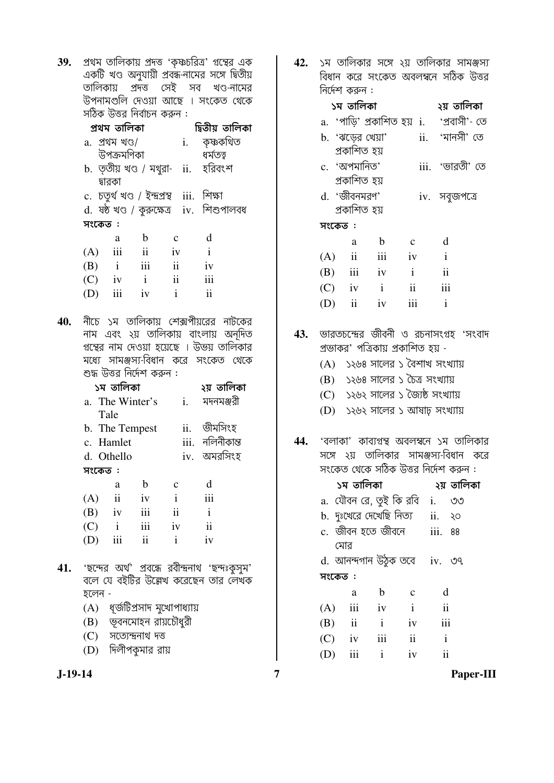| 39. | প্রথম তালিকায় প্রদত্ত 'কৃষ্ণচরিত্র' গুন্থের এক |  |  |  |
|-----|-------------------------------------------------|--|--|--|
|     | একটি খণ্ড অনুযায়ী প্রবন্ধ-নামের সঙ্গে দ্বিতীয় |  |  |  |
|     | তালিকায় প্রদত্ত সেই সব খণ্ড-নামের              |  |  |  |
|     | উপনামগুলি দেওয়া আছে । সংকেত থেকে               |  |  |  |
|     | সঠিক উত্তর নির্বাচন করুন :                      |  |  |  |

|         | প্ৰথম তালিকা              |              |                                           | দ্বিতীয় তালিকা                          |  |
|---------|---------------------------|--------------|-------------------------------------------|------------------------------------------|--|
|         | a. প্ৰথম খণ্ড/            |              |                                           | i. কৃষ্ণকথিত                             |  |
|         | উপক্ৰমণিকা                |              |                                           | ধৰ্মতত্ত্ব                               |  |
|         |                           |              |                                           | b. তৃতীয় খণ্ড / মথুরা- ii.  হরিবংশ      |  |
|         | দ্বারকা                   |              |                                           |                                          |  |
|         |                           |              | c. চতুৰ্থ খণ্ড / ইন্দ্ৰপ্ৰস্থ iii. শিক্ষা |                                          |  |
|         |                           |              |                                           | d. ষষ্ঠ খণ্ড / কুরুক্ষেত্র iv. শিশুপালবধ |  |
| সংকেত : |                           |              |                                           |                                          |  |
|         | a                         | b            | C                                         | d                                        |  |
| (A)     | $\overline{\mathbf{iii}}$ | ii           | iv                                        | $\mathbf{i}$                             |  |
|         | $(B)$ i                   | iii          | $\mathbf{ii}$                             | iv                                       |  |
|         | $(C)$ iv                  | $\mathbf{i}$ | $\overline{\mathbf{ii}}$                  | iii                                      |  |
| (D)     | iii                       | iv           | $\mathbf{i}$                              | $\mathbf{ii}$                            |  |
|         |                           |              |                                           |                                          |  |

 $40.$  নীচে ১ম তালিকায় শেক্সপীয়রের নাটকের নাম এবং ২য় তালিকায় বাংলায় অনূদিত গুন্থের নাম দেওয়া হয়েছে । উভয় তালিকার মধ্যে সামঞ্জস্য-বিধান করে সংকেত থেকে শুদ্ধ উত্তর নির্দেশ করুন :

|     |         | ১ম তালিকা     |                 |                  |     | ২য় তালিকা      |
|-----|---------|---------------|-----------------|------------------|-----|-----------------|
|     |         |               | a. The Winter's |                  | i.  | মদনমঞ্জরী       |
|     | Tale    |               |                 |                  |     |                 |
|     |         |               | b. The Tempest  |                  | ii. | ভীমসিংহ         |
|     |         | c. Hamlet     |                 |                  |     | iii. নলিনীকান্ত |
|     |         | d. Othello    |                 |                  |     | iv. অমরসিংহ     |
|     | সংকেত : |               |                 |                  |     |                 |
|     |         | a             | b               | C                |     | d               |
| (A) |         | $\mathbf{ii}$ | iv              | $\mathbf{i}$     |     | iii             |
| (B) |         | iv            | iii             | $\ddot{\rm{11}}$ |     | i               |
| (C) |         | $\mathbf{i}$  | iii             | iv               |     | ii              |
| (D) |         | iii           | ii              | i                |     | iv              |
|     |         |               |                 |                  |     |                 |

- 41. 'ছন্দের অর্থ' প্রবন্ধে রবীন্দ্রনাথ 'ছন্দঃকুসুম'<br>বলে যে বইটির উল্লেখ করেছেন তার লেখক হলেন -
	- $(A)$  ধূর্জটিপ্রসাদ মুখোপাধ্যায়
	- $(B)$  ভূবনমোহন রায়চৌধুরী
	- $(C)$  সত্যেন্দ্ৰনাথ দত্ত
	- (D) দিলীপকমার রায়

42. ১ম তালিকার সঙ্গে ২য় তালিকার সামঞ্জস্য বিধান করে সংকেত অবলম্বনে সঠিক উত্তর নিৰ্দেশ কৰুন :

|     | ১ম তালিকা                 |                            |               | ২য় তালিকা      |
|-----|---------------------------|----------------------------|---------------|-----------------|
|     |                           | a. 'পাডি' প্রকাশিত হয়  i. |               | 'প্ৰবাসী'- তে   |
|     | b. 'ঝডের খেয়া'           |                            |               | ii. 'মানসী' তে  |
|     | প্ৰকাশিত হয়              |                            |               |                 |
|     | c. 'অপমানিত'              |                            |               | iii. 'ভারতী' তে |
|     | প্ৰকাশিত হয়              |                            |               |                 |
|     | d. 'জীবনমরণ'              |                            |               | iv. সবুজপত্রে   |
|     | প্ৰকাশিত হয়              |                            |               |                 |
|     | সংকেত :                   |                            |               |                 |
|     | a                         | b                          | $\mathcal{C}$ | d               |
| (A) | ii                        | iii                        | iv            | $\mathbf{i}$    |
| (B) | $\overline{\mathbf{iii}}$ | $-iv$                      | $\mathbf{i}$  | $\mathbf{ii}$   |
|     | $(C)$ iv                  | $\mathbf{i}$               | ii            | iii             |
| (D) | ii                        | iv                         |               | $\mathbf{i}$    |
|     |                           |                            |               |                 |

43. ভারতচন্দ্রের জীবনী ও রচনাসংগ্রহ 'সংবাদ প্রভাকর' পত্রিকায় প্রকাশিত হয় -

- (A) ১২৬৪ সালের ১ বৈশাখ সংখ্যায়
- (B) ১২৬৪ সালের ১ চৈত্র সংখ্যায়
- (C) ১২৬২ সালের ১ জৈষ্ঠ সংখ্যায়
- (D) ১২৬২ সালের ১ আষাঢ় সংখ্যায়
- 44.  $\,$  'বলাকা' কাব্যগ্রন্থ অবলম্বনে ১ম তালিকার সঙ্গে ২য় তালিকার সামঞ্জস্য-বিধান করে সংকেত থেকে সঠিক উত্তর নির্দেশ করুন :

|          | ১ম তালিকা    |                                       |                 |                         | ২য় তালিকা |
|----------|--------------|---------------------------------------|-----------------|-------------------------|------------|
|          |              | a. যৌবন রে, তুই কি রবি i.             |                 |                         | ಄          |
|          |              | b. দুঃখেরে দেখেছি নিত্য     ii.    ২০ |                 |                         |            |
|          |              | c. জীবন হতে জীবনে      iii.           |                 |                         | 88         |
|          | মোর          |                                       |                 |                         |            |
|          |              | d. আনন্দগান উঠুক তবে iv. ৩৭           |                 |                         |            |
| সংকেত :  |              |                                       |                 |                         |            |
|          | a            | b                                     | $\mathbf{C}$    | d                       |            |
|          | $(A)$ iii iv |                                       | $\mathbf{i}$    | $\overline{\mathbf{u}}$ |            |
| $(B)$ ii |              | $\mathbf{i}$                          | iv              | iii                     |            |
| $(C)$ iv |              | iii                                   | $\ddot{\rm ii}$ | $\mathbf{i}$            |            |
| (D)      | iii          | $\mathbf{1}$                          | iv              | $\mathbf{ii}$           |            |

 $\overline{7}$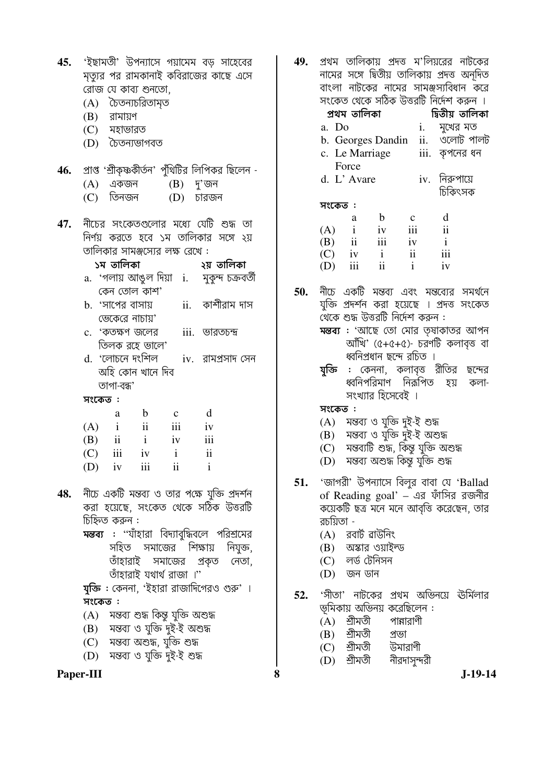|         |                |                     |                                        | <b>45. '</b> ইছামতী' উপন্যাসে গয়ামেম বড় সাহেবের             |  |
|---------|----------------|---------------------|----------------------------------------|---------------------------------------------------------------|--|
|         |                |                     |                                        | মৃত্যুর পর রামকানাই কবিরাজের কাছে এসে                         |  |
|         |                | রোজ যে কাব্য শুনতো, |                                        |                                                               |  |
|         |                | (A) চৈতন্যচরিতামৃত  |                                        |                                                               |  |
|         | $(B)$ রামায়ণ  |                     |                                        |                                                               |  |
|         | (C) মহাভারত    |                     |                                        |                                                               |  |
|         |                | (D) চৈতন্যভাগবত     |                                        |                                                               |  |
|         |                |                     |                                        |                                                               |  |
|         |                |                     |                                        | 46. প্রাপ্ত 'শ্রীকৃষ্ণকীর্তন' পুঁথিটির লিপিকর ছিলেন -         |  |
|         |                |                     |                                        |                                                               |  |
|         |                |                     |                                        | (A) একজন       (B)   দু'জন<br>(C)   তিনজন         (D)   চারজন |  |
|         |                |                     |                                        |                                                               |  |
|         |                |                     |                                        | <b>47.</b> নীচের সংকেতগুলোর মধ্যে যেটি শুদ্ধ তা               |  |
|         |                |                     |                                        | নির্ণয় করতে হবে ১ম তালিকার সঙ্গে ২য়                         |  |
|         |                |                     | তালিকার সামঞ্জস্যের লক্ষ রেখে :        |                                                               |  |
|         |                |                     |                                        |                                                               |  |
|         | ১ম তালিকা      |                     |                                        | ২য় তালিকা                                                    |  |
|         |                |                     |                                        | a. 'গলায় আঙুল দিয়া i.  মুকুন্দ চক্রবর্তী                    |  |
|         |                | কেন তোল কাশ'        |                                        |                                                               |  |
|         |                | b. 'সাপের বাসায়    |                                        | ii.    কাশীরাম দাস                                            |  |
|         |                | ভেকেরে নাচায়'      |                                        |                                                               |  |
|         |                |                     |                                        | c. 'কতক্ষণ জলের iii. ভারতচন্দ্র                               |  |
|         |                | তিলক রহে ভালে'      |                                        |                                                               |  |
|         |                |                     |                                        | d. 'লোচনে দংশিল   iv.  রামপ্রসাদ সেন                          |  |
|         |                | অহি কোন খানে দিব    |                                        |                                                               |  |
|         | তাগা-বন্ধ'     |                     |                                        |                                                               |  |
| সংকেত:  |                |                     |                                        |                                                               |  |
|         | a              | $\mathbf{b}$        | $\mathbf{c}$                           | $\mathbf d$                                                   |  |
|         |                |                     | $(A)$ i ii iii iv                      |                                                               |  |
|         |                |                     | $(B)$ ii i iv iii                      |                                                               |  |
|         |                |                     | $(C)$ iii iv i ii                      |                                                               |  |
|         |                |                     | (D) iv iii ii i                        |                                                               |  |
|         |                |                     |                                        |                                                               |  |
|         |                |                     |                                        | <b>48.</b> নীচে একটি মন্তব্য ও তার পক্ষে যুক্তি প্রদর্শন      |  |
|         |                |                     |                                        | করা হয়েছে, সংকেত থেকে সঠিক উত্তরটি                           |  |
|         | চিহ্নিত করুন : |                     |                                        |                                                               |  |
|         |                |                     |                                        | <b>মন্তব্য : ''</b> যাঁহারা বিদ্যাবুদ্ধিবলে পরিশ্রমের         |  |
|         |                |                     |                                        | সহিত সমাজের শিক্ষায় নিযুক্ত,                                 |  |
|         |                |                     |                                        | তাঁহারাই সমাজের প্রকৃত নেতা,                                  |  |
|         |                |                     | তাঁহারাই যথার্থ রাজা ।"                |                                                               |  |
|         |                |                     |                                        |                                                               |  |
|         |                |                     |                                        | <b>যুক্তি</b> : কেননা, 'ইহারা রাজাদিগেরও গুরু' ।              |  |
| সংকেত : |                |                     |                                        |                                                               |  |
|         |                |                     | (A) মন্তব্য শুদ্ধ কিন্তু যুক্তি অশুদ্ধ |                                                               |  |
|         |                |                     | (B) মন্তব্য ও যুক্তি দুই-ই অশুদ্ধ      |                                                               |  |
|         |                |                     | (C) মন্তব্য অশুদ্ধ, যুক্তি শুদ্ধ       |                                                               |  |
|         |                |                     | (D) মন্তব্য ও যুক্তি দুই-ই শুদ্ধ       |                                                               |  |
|         |                |                     |                                        |                                                               |  |

Paper-III

|         |                |                          | 49.  প্রথম তালিকায় প্রদত্ত ম'লিয়রের নাটকের                                         |                          |               |
|---------|----------------|--------------------------|--------------------------------------------------------------------------------------|--------------------------|---------------|
|         |                |                          | নামের সঙ্গে দ্বিতীয় তালিকায় প্রদত্ত অনূদিত                                         |                          |               |
|         |                |                          | বাংলা নাটকের নামের সামঞ্জস্যবিধান করে                                                |                          |               |
|         |                |                          | সংকেত থেকে সঠিক উত্তরটি নির্দেশ করুন ।                                               |                          |               |
|         | প্ৰথম তালিকা   |                          | দ্বিতীয় তালিকা                                                                      |                          |               |
| a. Do   |                |                          |                                                                                      | i.     মুখের মত          |               |
|         |                | b. Georges Dandin        |                                                                                      |                          | ii. ওলোট পালট |
|         | c. Le Marriage |                          |                                                                                      | iii. কৃপনের ধন           |               |
|         | Force          |                          |                                                                                      |                          |               |
|         | d. L'Avare     |                          |                                                                                      | iv. নিরুপায়ে            |               |
|         |                |                          |                                                                                      |                          | চিকিৎসক       |
| সংকেত : |                |                          |                                                                                      |                          |               |
|         | <sub>a</sub>   | $\mathbf{b}$             | $\mathbf{c}$                                                                         | $\mathbf d$              |               |
| $(A)$ i |                |                          | iv iii                                                                               | $\overline{\mathbf{ii}}$ |               |
|         |                |                          | $(B)$ ii iii iv                                                                      | $\mathbf{i}$             |               |
|         |                |                          | $(C)$ iv i ii iii                                                                    |                          |               |
|         | $(D)$ iii      | $\overline{\mathbf{ii}}$ | $\mathbf{i}$                                                                         | iv                       |               |
|         |                |                          |                                                                                      |                          |               |
|         |                |                          | 50. নীচে একটি মন্তব্য এবং মন্তব্যের সমর্থনে                                          |                          |               |
|         |                |                          | যুক্তি প্রদর্শন করা হয়েছে । প্রদত্ত সংকেত                                           |                          |               |
|         |                |                          | থেকে শুদ্ধ উত্তরটি নির্দেশ করুন :                                                    |                          |               |
|         |                |                          | মন্তব্য : 'আছে তো মোর তৃষাকাতর আপন                                                   |                          |               |
|         |                |                          | আঁখি' (৫+৫+৫)- চরণটি কলাবৃত্ত বা                                                     |                          |               |
|         |                |                          | ধ্বনিপ্রধান ছন্দে রচিত ।                                                             |                          |               |
| যুক্তি  |                |                          | <mark>:</mark> কেননা, কলাবৃত্ত রীতির ছন্দের                                          |                          |               |
|         |                |                          | ধ্বনিপরিমাণ নির্রূপিত হয় কলা-                                                       |                          |               |
|         |                | সংখ্যার হিসেবেই ।        |                                                                                      |                          |               |
| সংকেত:  |                |                          |                                                                                      |                          |               |
|         |                |                          | (A) মন্তব্য ও যুক্তি দুই-ই শুদ্ধ                                                     |                          |               |
|         |                |                          | (B)    মন্তব্য ও যুক্তি দুই-ই অশুদ্ধ<br>(C)    মন্তব্যটি শুদ্ধ, কিন্তু যুক্তি অশুদ্ধ |                          |               |
|         |                |                          |                                                                                      |                          |               |
|         |                |                          | (D) মন্তব্য অশুদ্ধ কিন্তু যুক্তি শুদ্ধ                                               |                          |               |
|         |                |                          |                                                                                      |                          |               |
|         |                |                          | 51. 'জাগরী' উপন্যাসে বিলুর বাবা যে 'Ballad<br>of Dooding gool' as within arcalia     |                          |               |

- 51. of Reading goal' – এর ফাঁসির রজনীর কয়েকটি ছত্র মনে মনে আবৃত্তি করেছেন, তার রচয়িতা -
	- $(A)$  রবার্ট ৱাউনিং
	- $(B)$  অস্কার ওয়াইল্ড
	- $\overline{C}$  লৰ্ড টেনিসন
	- $(D)$  জন ডান

8

- 52. 'সীতা' নাটকের প্রথম অভিনয়ে ঊর্মিলার ভূমিকায় অভিনয় করেছিলেন :
	- $(A)$  শ্রীমতী পান্নারাণী
	- $(B)$  শ্রীমতী প্ৰভা
	- $(C)$  শ্ৰীমতী উমারাণী
	- $(D)$  শ্রীমতী নীরদাসুন্দরী

 $J-19-14$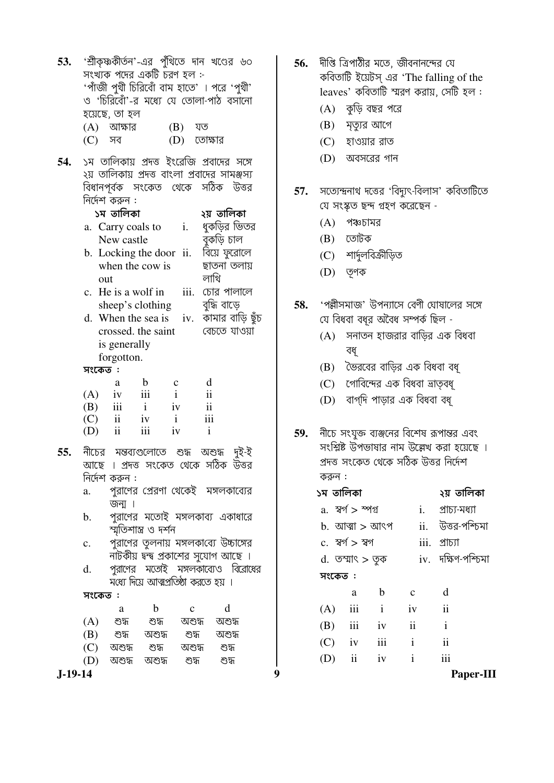| 53. |                |                                                                                           |                            |              | 'শ্রীকৃষ্ণকীর্তন'-এর পুঁথিতে দান খণ্ডের ৬০                      |                                          |
|-----|----------------|-------------------------------------------------------------------------------------------|----------------------------|--------------|-----------------------------------------------------------------|------------------------------------------|
|     |                |                                                                                           | সংখ্যক পদের একটি চরণ হল :- |              |                                                                 |                                          |
|     |                |                                                                                           |                            |              | 'পাঁজী পুথী চিরিবোঁ বাম হাতে' । পরে 'পুথী'                      |                                          |
|     |                |                                                                                           |                            |              | ও 'চিরিবোঁ'-র মধ্যে যে তোলা-পাঠ বসানো                           |                                          |
|     |                | হয়েছে, তা হল                                                                             |                            |              |                                                                 |                                          |
|     |                | (A) আক্ষার                                                                                |                            | $(B)$ যত     |                                                                 |                                          |
|     |                |                                                                                           |                            |              |                                                                 |                                          |
|     | (C) সব         |                                                                                           |                            | (D) তোক্ষার  |                                                                 |                                          |
| 54. |                |                                                                                           |                            |              | ১ম তালিকায় প্রদত্ত ইংরেজি প্রবাদের সঙ্গে                       |                                          |
|     |                |                                                                                           |                            |              | ২য় তালিকায় প্রদত্ত বাংলা প্রবাদের সামঞ্জস্য                   |                                          |
|     |                |                                                                                           |                            |              | বিধানপূর্বক সংকেত থেকে সঠিক উত্তর                               |                                          |
|     |                | নির্দেশ করুন :                                                                            |                            |              |                                                                 |                                          |
|     |                | ১ম তালিকা                                                                                 |                            |              | ২য় তালিকা                                                      |                                          |
|     |                |                                                                                           |                            |              |                                                                 |                                          |
|     |                |                                                                                           |                            |              | a. Carry coals to i. ধুকড়ির ভিতর                               |                                          |
|     |                |                                                                                           |                            |              | New castle a বুকড়ি চাল<br>b. Locking the door ii. বিয়ে ফুরোলে |                                          |
|     |                |                                                                                           |                            |              |                                                                 |                                          |
|     |                |                                                                                           | when the cow is            |              | ছাতনা তলায়                                                     |                                          |
|     | out            |                                                                                           |                            |              | লাথি                                                            |                                          |
|     | $\mathbf{c}$ . |                                                                                           | He is a wolf in            |              | iii. চোর পালালে                                                 |                                          |
|     |                |                                                                                           | sheep's clothing           |              | বুদ্ধি বাড়ে                                                    |                                          |
|     |                |                                                                                           |                            |              |                                                                 | d. When the sea is iv. कामात वार्षि छूँह |
|     |                |                                                                                           | crossed. the saint         |              | বেচতে যাওয়া                                                    |                                          |
|     |                | is generally                                                                              |                            |              |                                                                 |                                          |
|     |                | forgotton.                                                                                |                            |              |                                                                 |                                          |
|     | সংকেত:         |                                                                                           |                            |              |                                                                 |                                          |
|     |                | a                                                                                         | $\mathbf b$                | $\mathbf{C}$ | d                                                               |                                          |
|     |                | $(A)$ iv iii                                                                              |                            | $\mathbf{i}$ | $\mathbf{ii}$                                                   |                                          |
|     |                | $\overrightarrow{B}$ $\overrightarrow{iii}$<br>$\overrightarrow{C}$ $\overrightarrow{ii}$ | $\mathbf{i}$               | iv           | $\ddot{\rm{11}}$                                                |                                          |
|     |                |                                                                                           | iv                         | $\mathbf{i}$ | iii                                                             |                                          |
|     |                | $(D)$ ii                                                                                  | iii<br>iv                  |              | $\mathbf{i}$                                                    |                                          |
|     |                |                                                                                           |                            |              |                                                                 |                                          |
| 55. |                |                                                                                           |                            |              | নীচের মন্তব্যগুলোতে শুদ্ধ অশুদ্ধ দুই-ই                          |                                          |
|     |                |                                                                                           |                            |              | আছে । প্রদত্ত সংকেত থেকে সঠিক উত্তর                             |                                          |
|     |                | নির্দেশ করুন :                                                                            |                            |              |                                                                 |                                          |
|     | a.             |                                                                                           |                            |              | পুরাণের প্রেরণা থেকেই  মঙ্গলকাব্যের                             |                                          |
|     |                | জন্ম ।                                                                                    |                            |              |                                                                 |                                          |
|     | b.             |                                                                                           |                            |              | পুরাণের মতোই মঙ্গলকাব্য একাধারে                                 |                                          |
|     |                |                                                                                           | স্মৃতিশাস্ত্র ও দর্শন      |              |                                                                 |                                          |
|     | c.             |                                                                                           |                            |              | পুরাণের তুলনায় মঙ্গলকাব্যে উচ্চাঙ্গের                          |                                          |
|     |                |                                                                                           |                            |              | নাটকীয় দ্বন্দ্ব প্রকাশের সুযোগ আছে ।                           |                                          |
|     | d.             |                                                                                           |                            |              |                                                                 | পুরাণের মতোই মঙ্গলকাব্যেও বিরোধের        |
|     |                |                                                                                           |                            |              | মধ্যে দিয়ে আত্মপ্রতিষ্ঠা করতে হয় ।                            |                                          |
|     | সংকেত:         |                                                                                           |                            |              |                                                                 |                                          |
|     |                | a                                                                                         | $\mathbf b$                | $\mathbf{c}$ | d                                                               |                                          |
|     |                |                                                                                           | (A) শুদ্ধ শুদ্ধ            |              | অশুদ্ধ অশুদ্ধ                                                   |                                          |
|     |                |                                                                                           |                            |              |                                                                 |                                          |
|     |                |                                                                                           | (B) শুদ্ধ অশুদ্ধ           |              | শুদ্ধ অশুদ্ধ<br>(C) অশুদ্ধ শুদ্ধ অশুদ্ধ শুদ্ধ                   |                                          |
|     |                |                                                                                           |                            |              | (D) বাশেদ্ধ বাশেদ্ধ শেদ্ধ শেদ                                   |                                          |
|     |                |                                                                                           |                            |              |                                                                 |                                          |

 $J-19-14$ 

- 56. দীপ্তি ত্রিপাঠীর মতে, জীবনানন্দের যে কবিতাটি ইয়েটস্ এর 'The falling of the leaves' কবিতাটি স্মরণ করায়, সেটি হল :
	- $(A)$  কুড়ি বছর পরে
	- (B) মৃত্যুর আগে
	- (C) হাওয়ার রাত
	- (D) অবসরের গান
- 57. সত্যেন্দ্রনাথ দত্তের 'বিদ্যুৎ-বিলাস' কবিতাটিতে যে সংস্কৃত ছন্দ গ্ৰহণ করেছেন -
	- $(A)$  পঞ্চচামর
	- (B) তোটক
	- $(C)$  শাৰ্দুলবিক্ৰীড়িত
	- (D) তৃণক
- 58. 'পল্লীসমাজ' উপন্যাসে বেণী ঘোষালের সঙ্গে যে বিধবা বধুর অবৈধ সম্পর্ক ছিল -
	- $(A)$  সনাতন হাজরার বাড়ির এক বিধবা বধ্
	- (B) ভৈরবের বাড়ির এক বিধবা বধূ
	- (C) গোবিন্দের এক বিধবা ভ্রাতৃবধৃ
	- (D) বাগ্দি পাড়ার এক বিধবা বধূ
- 59. নীচে সংযুক্ত ব্যঞ্জনের বিশেষ রূপান্তর এবং সংশ্লিষ্ট উপভাষার নাম উল্লেখ করা হয়েছে । প্রদত্ত সংকেত থেকে সঠিক উত্তর নির্দেশ করুন :

| ১ম তালিকা |                           |                    |                          | ২য় তালিকা               |    |
|-----------|---------------------------|--------------------|--------------------------|--------------------------|----|
|           | a. স্বৰ্গ > স্পগ <u>্</u> |                    |                          | $i.$ প্রাচ্য-মধ্যা       |    |
|           |                           | $b.$ আত্মা $>$ আৎপ |                          | ii. উত্তর-পশ্চিমা        |    |
|           | c. স্বৰ্গ > স্বগ          |                    | iii. 21571               |                          |    |
|           | d. তম্মাৎ > তুক           |                    |                          | $iv.$ দক্ষিণ-পশ্চিমা     |    |
| সংকেত:    |                           |                    |                          |                          |    |
|           |                           | a b                | $\overline{c}$           | $\mathbf d$              |    |
|           |                           | $(A)$ iii i iv ii  |                          |                          |    |
|           | $(B)$ iii iv              |                    | $\overline{\mathbf{ii}}$ | $\mathbf{i}$             |    |
|           | $(C)$ iv iii              |                    | $\mathbf{i}$             | $\overline{\mathbf{ii}}$ |    |
|           | $(D)$ ii iv               |                    | $\mathbf{i}$             | iii                      |    |
|           |                           |                    |                          | ∽                        | т. |

 $\boldsymbol{9}$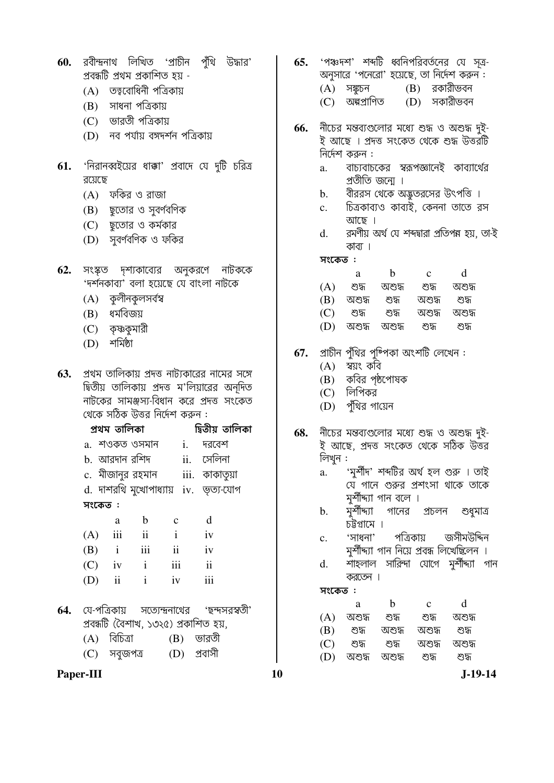- 60. রবীন্দ্রনাথ লিখিত 'প্রাচীন পুঁথি উদ্ধার' প্ৰবন্ধটি প্ৰথম প্ৰকাশিত হয় -
	- (A) তত্ববোধিনী পত্রিকায়
	- (B) সাধনা পত্রিকায়
	- (C) ভারতী পত্রিকায়
	- (D) নব পর্যায় বঙ্গদর্শন পত্রিকায়
- 'নিরানব্বইয়ের ধাক্কা' প্রবাদে যে দুটি চরিত্র 61. রয়েছে
	- (A) ফকির ও রাজা
	- (B) ছতোর ও সবর্ণবণিক
	- (C) ছতোর ও কর্মকার
	- (D) সুবর্ণবণিক ও ফকির
- সংস্কত দশ্যকাব্যের অনুকরণে নাটককে 62. 'দর্শনকাব্য' বলা হয়েছে যে বাংলা নাটকে
	- (A) কুলীনকুলসৰ্বস্ব
	- (B) ধর্মবিজয়
	- (C) কৃষ্ণকুমারী
	- $(D)$  শৰ্মিষ্ঠা
- প্রথম তালিকায় প্রদত্ত নাট্যকারের নামের সঙ্গে 63. দ্বিতীয় তালিকায় প্রদত্ত ম'লিয়ারের অনূদিত নাটকের সামঞ্জস্য-বিধান করে প্রদত্ত সংকেত থেকে সঠিক উত্তর নির্দেশ করুন :

|     | প্ৰথম তালিকা     |               |                     |                | দ্বিতীয় তালিকা                      |
|-----|------------------|---------------|---------------------|----------------|--------------------------------------|
|     | a. শওকত ওসমান    |               |                     | $\mathbf{i}$ . | দরবেশ                                |
|     | b. আরদান রশিদ    |               |                     |                | ii. সেলিনা                           |
|     | c. মীজানুর রহমান |               |                     |                | iii. কাকাতুয়া                       |
|     |                  |               |                     |                | d. দাশরথি মুখোপাধ্যায় iv. ভূত্য-যোগ |
|     | সংকেত :          |               |                     |                |                                      |
|     | a                | b             | $\mathbf c$         |                | d                                    |
| (A) | iii              | $\mathbf{ii}$ | $\mathbf{i}$        |                | iv                                   |
|     | $(B)$ i          | iii           | $\ddot{\mathbf{i}}$ |                | iv                                   |
|     | $(C)$ iv         | $\mathbf{i}$  | iii                 |                | $\mathbf{ii}$                        |
| (D) | $\mathbf{ii}$    | $\mathbf{i}$  | iv                  |                | iii                                  |
|     |                  |               |                     |                |                                      |

- সত্যেন্দ্রনাথের 'ছন্দসরস্বতী' **64.** যে-পত্রিকায় প্রবন্ধটি (বৈশাখ, ১৩২৫) প্রকাশিত হয়,
	- $(A)$  বিচিত্রা  $(B)$  ভারতী  $(C)$  সবুজপত্ৰ (D) প্ৰবাসী
- Paper-III
- 'পঞ্চদশ' শব্দটি ধ্বনিপরিবর্তনের যে সত্র-65. অনুসারে 'পনেরো' হয়েছে, তা নির্দেশ করুন:  $(A)$  সঙ্কচন (B) রকারীভবন
	- (C) অন্ধপ্রাণিত (D) সকারীভবন
- নীচের মন্তব্যগুলোর মধ্যে শুদ্ধ ও অশুদ্ধ দুই-66. ই আছে । প্ৰদত্ত সংকেত থেকে শুদ্ধ উত্তরটি নির্দেশ করুন :
	- বাচ্যবাচকের স্বরূপজ্ঞানেই কাব্যার্থের  $\mathbf{a}$ . প্রতীতি জন্মে ।
	- বীররস থেকে অদ্ভুতরসের উৎপত্তি ।  $\mathbf b$ .
	- চিত্রকাব্যও কাব্যই, কেননা তাতে রস  $c.$ আছে ।
	- রমণীয় অর্থ যে শব্দদ্বারা প্রতিপন্ন হয়, তা-ই  $d_{-}$ কাব্য ।

### সংকেত:

|     | а      | h      | с      | d      |
|-----|--------|--------|--------|--------|
| (A) | শুদ্ধ  | অশুদ্ধ | শুদ্ধ  | অশুদ্ধ |
| (B) | অশুদ্ধ | শেস    | অশুদ্ধ | শেস    |
| (C) | শেস    | শুদ্ধ  | অশুদ্ধ | অশুদ্ধ |
| (D) | অশুদ্ধ | ৩াশীস  | শুদ্ধ  | শুদ্ধ  |

- 67. প্রাচীন পুঁথির পুষ্পিকা অংশটি লেখেন :
	- (A) স্বয়ং কবি
	- (B) কবির পৃষ্ঠপোষক
	- $(C)$  লিপিকর
	- (D) পুঁথির গায়েন
- 68. নীচের মন্তব্যগুলোর মধ্যে শুদ্ধ ও অশুদ্ধ দুই-ই আছে, প্ৰদত্ত সংকেত থেকে সঠিক উত্তর লিখুন :
	- 'মৰ্শীদ' শব্দটির অৰ্থ হল গুরু । তাই  $\overline{a}$ . যে গানে গুরুর প্রশংসা থাকে তাকে মুর্শীদ্যা গান বলে ।
	- মুৰ্শীদ্যা  $\mathbf{b}$ . গানের প্রচলন শুধুমাত্র চট্টগ্রামে ।
	- 'সাধনা' পত্রিকায় জসীমউদ্দিন  $c.$ মুর্শীদ্দ্যা গান নিয়ে প্রবন্ধ লিখেছিলেন ।
	- শাহলাল সারিন্দা যোগে মর্শীদ্দ্যা গান  $\mathbf{d}$ . কবতেন।

সংকেত:

|     | a      | h     | с      | d      |
|-----|--------|-------|--------|--------|
| (A) | অশুদ্ধ | শুদ্ধ | শুদ্ধ  | অশুদ্ধ |
| (B) | শুদ্ধ  | অশুদ  | অশুদ্ধ | শুদ্ধ  |
| (C) | শেস    | শুদ্ধ | অশুদ্ধ | অশুদ্ধ |
| (D) | অশুদ্ধ | অশুদ  | শেস    | শুদ্ধ  |

10

 $J-19-14$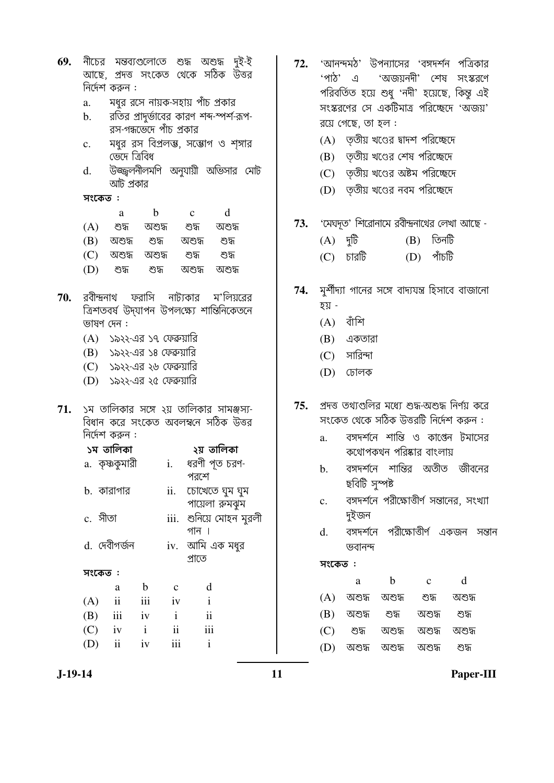- 69. নীচের মন্তব্যগুলোতে শুদ্ধ অশুদ্ধ দই-ই আছে, প্রদত্ত সংকেত থেকে সঠিক উত্তর নির্দেশ করুন :
	- মধর রসে নায়ক-সহায় পাঁচ প্রকার  $\mathbf{a}$ .
	- রতির প্রাদুর্ভাবের কারণ শব্দ-স্পর্শ-রূপ- $<sub>b</sub>$ .</sub> রস-গন্ধভেঁদে পাঁচ প্রকার
	- মধুর রস বিপ্রলম্ভ, সম্ভোগ ও শঙ্গার  $\mathbf{c}$ . ভেঁদে ত্ৰিবিধ
	- উজ্জ্বলনীলমণি অনুযায়ী অভিসার মোট  $\mathbf{d}$ . আট প্রকার

সংকেত:

- a  $\mathbf b$  $\mathbf{c}$  $\mathrm{d}% \left\vert \mathbf{r}_{i}\right\rangle =\mathrm{d}\left\vert \mathbf{r}_{i}\right\rangle$
- $(A)$ শুদ্ধ অশুদ্ধ শুদ্ধ অশুদ্ধ
- $(B)$  অশুদ্ধ শুদ্ধ অশুদ্ধ শুদ্ধ
- $(C)$  অশুদ্ধ অশুদ্ধ শুদ্ধ শুদ্ধ
- $(D)$ অশুদ্ধ শুদ্ধ শুদ্ধ অশুদ্ধ
- রবীন্দ্রনাথ ফরাসি ম'লিয়রের নাট্যকার 70. ত্রিশতবর্ষ উদ্যাপন উপলক্ষ্যে শান্তিনিকেতনে ভাষণ দেন :
	- (A) ১৯২২-এর ১৭ ফেব্রুয়ারি
	- (B) ১৯২২-এর ১৪ ফেব্রুয়ারি
	- (C) ১৯২২-এর ২৬ ফেব্রুয়ারি
	- (D) ১৯২২-এর ২৫ ফেব্রুয়ারি
- ১ম তালিকার সঙ্গে ২য় তালিকার সামঞ্জস্য-71. বিধান করে সংকেত অবলম্বনে সঠিক উত্তর নির্দেশ করুন :

|              | ১ম তালিকা               |              |                  | ২য় তালিকা               |
|--------------|-------------------------|--------------|------------------|--------------------------|
|              | a. কৃষ্ণকুমারী          |              | i.               | ধরণী পূত চরণ-            |
|              |                         |              |                  | পরশে                     |
|              | h. কারাগার              |              |                  | ii. চোখেতে ঘুম ঘুম       |
|              |                         |              |                  | পায়েলা রুমঝুম           |
| c. গীতা      |                         |              |                  | iii.  শুনিয়ে সোহন মুরলী |
|              |                         |              |                  | গান ।                    |
| d. দেবীগৰ্জন |                         |              |                  | iv.  আমি এক মধুর         |
|              |                         |              |                  | প্ৰাতে                   |
| সংকেত :      |                         |              |                  |                          |
|              | a                       | b            | $\mathbf c$      | d                        |
| (A)          | $\overline{\mathbf{i}}$ | iii          | iv               | $\mathbf{i}$             |
| (B)          | iii                     | iv           | $\mathbf{i}$     | $\mathbf{ii}$            |
| $(C)$ iv     |                         | $\mathbf{i}$ | $\ddot{\rm{11}}$ | iii                      |
| (D)          | $\overline{\mathbf{u}}$ | iv           | iii              | $\mathbf{i}$             |

- 'আনন্দমঠ' উপন্যাসের 'বঙ্গদর্শন পত্রিকার 72. 'পাঠ' এ 'অজয়নদী' শেষ সংস্করণে পরিবর্তিত হয়ে শুধু 'নদী' হয়েছে, কিন্তু এই সংস্করণের সে একটিমাত্র পরিচ্ছেদে 'অজয়' রয়ে গেছে, তা হল :
	- $(A)$  তৃতীয় খণ্ডের দ্বাদশ পরিচ্ছেদে
	- (B) তৃতীয় খণ্ডের শেষ পরিচ্ছেদে
	- $(C)$  তৃতীয় খণ্ডের অষ্টম পরিচ্ছেদে
	- (D) তৃতীয় খণ্ডের নবম পরিচ্ছেদে
- 'মেঘদৃত' শিরোনামে রবীন্দ্রনাথের লেখা আছে -73.
	- $(A)$   $\P$ <sup> $\frac{1}{2}$ </sup>  $(B)$  তিনটি  $(D)$  পাঁচটি  $(C)$  চারটি

#### 74. মর্শীদ্যা গানের সঙ্গে বাদ্যযন্ত্র হিসাবে বাজানো হয় -

- $(A)$  বাঁশি
- (B) একতারা
- $(C)$  সারিন্দা
- (D) ঢোলক
- পদত্ত তথাগুলির মধ্যে শুদ্ধ-অশুদ্ধ নির্ণয় করে 75. সংকেত থেকে সঠিক উত্তরটি নির্দেশ করুন :
	- বঙ্গদর্শনে শান্তি ও কাপ্তেন টমাসের  $\mathbf{a}$ . কথোপকথন পরিষ্কার বাংলায়
	- বঙ্গদর্শনে শান্তির অতীত জীবনের  $\mathbf{b}$ . ছবিটি সুস্পষ্ট
	- বঙ্গদর্শনে পরীক্ষোত্তীর্ণ সন্তানের, সংখ্যা  $\mathbf{c}$ . দুইজন
	- বঙ্গদর্শনে পরীক্ষোত্তীর্ণ একজন সন্তান  $d_{\cdot}$ ভবানন্দ

সংকেত:

| a                   | h      | $\mathbf c$              | d      |
|---------------------|--------|--------------------------|--------|
| $(A)$ অশুদ্ধ অশুদ্ধ |        | শুদ                      | অশুদ্ধ |
| (B) অশুদ্ধ শুদ্ধ    |        | অশুদ্ধ                   | শুদ    |
| (C) শুদ্ধ           | অশুদ্ধ | অশুদ্ধ                   | অশুদ্ধ |
|                     |        | (D) অশুদ্ধ অশুদ্ধ অশুদ্ধ | শেস    |

 $J-19-14$